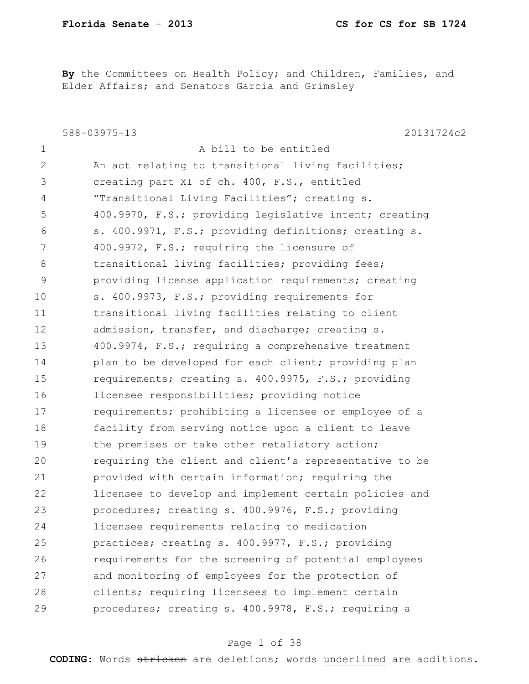**By** the Committees on Health Policy; and Children, Families, and Elder Affairs; and Senators Garcia and Grimsley

|               | 588-03975-13<br>20131724c2                             |
|---------------|--------------------------------------------------------|
| $\mathbf 1$   | A bill to be entitled                                  |
| $\mathbf{2}$  | An act relating to transitional living facilities;     |
| 3             | creating part XI of ch. 400, F.S., entitled            |
| 4             | "Transitional Living Facilities"; creating s.          |
| 5             | 400.9970, F.S.; providing legislative intent; creating |
| 6             | s. 400.9971, F.S.; providing definitions; creating s.  |
| 7             | 400.9972, F.S.; requiring the licensure of             |
| 8             | transitional living facilities; providing fees;        |
| $\mathcal{G}$ | providing license application requirements; creating   |
| 10            | s. 400.9973, F.S.; providing requirements for          |
| 11            | transitional living facilities relating to client      |
| 12            | admission, transfer, and discharge; creating s.        |
| 13            | 400.9974, F.S.; requiring a comprehensive treatment    |
| 14            | plan to be developed for each client; providing plan   |
| 15            | requirements; creating s. 400.9975, F.S.; providing    |
| 16            | licensee responsibilities; providing notice            |
| 17            | requirements; prohibiting a licensee or employee of a  |
| 18            | facility from serving notice upon a client to leave    |
| 19            | the premises or take other retaliatory action;         |
| 20            | requiring the client and client's representative to be |
| 21            | provided with certain information; requiring the       |
| 22            | licensee to develop and implement certain policies and |
| 23            | procedures; creating s. 400.9976, F.S.; providing      |
| 24            | licensee requirements relating to medication           |
| 25            | practices; creating s. 400.9977, F.S.; providing       |
| 26            | requirements for the screening of potential employees  |
| 27            | and monitoring of employees for the protection of      |
| 28            | clients; requiring licensees to implement certain      |
| 29            | procedures; creating s. 400.9978, F.S.; requiring a    |
|               |                                                        |

#### Page 1 of 38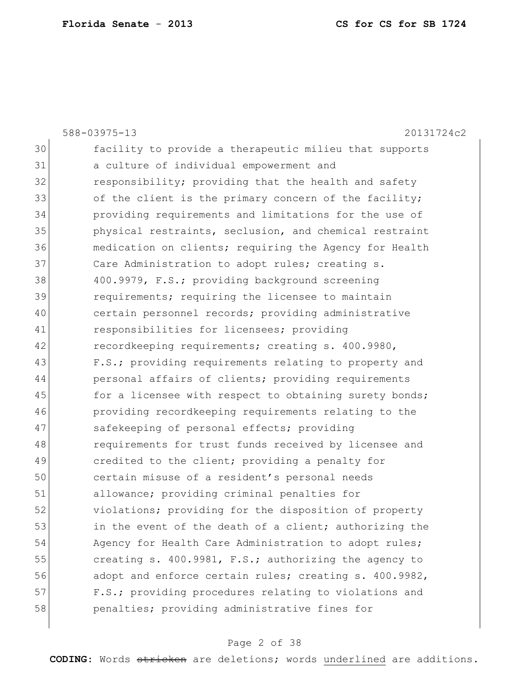|    | 588-03975-13<br>20131724c2                             |
|----|--------------------------------------------------------|
| 30 | facility to provide a therapeutic milieu that supports |
| 31 | a culture of individual empowerment and                |
| 32 | responsibility; providing that the health and safety   |
| 33 | of the client is the primary concern of the facility;  |
| 34 | providing requirements and limitations for the use of  |
| 35 | physical restraints, seclusion, and chemical restraint |
| 36 | medication on clients; requiring the Agency for Health |
| 37 | Care Administration to adopt rules; creating s.        |
| 38 | 400.9979, F.S.; providing background screening         |
| 39 | requirements; requiring the licensee to maintain       |
| 40 | certain personnel records; providing administrative    |
| 41 | responsibilities for licensees; providing              |
| 42 | recordkeeping requirements; creating s. 400.9980,      |
| 43 | F.S.; providing requirements relating to property and  |
| 44 | personal affairs of clients; providing requirements    |
| 45 | for a licensee with respect to obtaining surety bonds; |
| 46 | providing recordkeeping requirements relating to the   |
| 47 | safekeeping of personal effects; providing             |
| 48 | requirements for trust funds received by licensee and  |
| 49 | credited to the client; providing a penalty for        |
| 50 | certain misuse of a resident's personal needs          |
| 51 | allowance; providing criminal penalties for            |
| 52 | violations; providing for the disposition of property  |
| 53 | in the event of the death of a client; authorizing the |
| 54 | Agency for Health Care Administration to adopt rules;  |
| 55 | creating s. 400.9981, F.S.; authorizing the agency to  |
| 56 | adopt and enforce certain rules; creating s. 400.9982, |
| 57 | F.S.; providing procedures relating to violations and  |
| 58 | penalties; providing administrative fines for          |
|    |                                                        |

## Page 2 of 38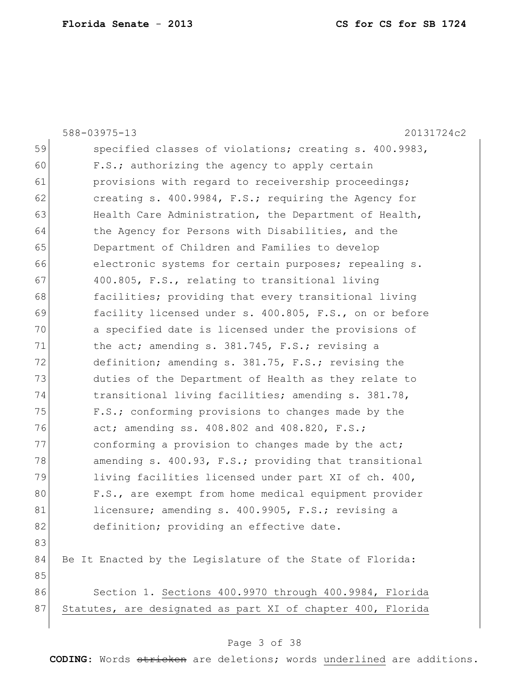|    | 588-03975-13<br>20131724c2                                  |
|----|-------------------------------------------------------------|
| 59 | specified classes of violations; creating s. 400.9983,      |
| 60 | F.S.; authorizing the agency to apply certain               |
| 61 | provisions with regard to receivership proceedings;         |
| 62 | creating s. 400.9984, F.S.; requiring the Agency for        |
| 63 | Health Care Administration, the Department of Health,       |
| 64 | the Agency for Persons with Disabilities, and the           |
| 65 | Department of Children and Families to develop              |
| 66 | electronic systems for certain purposes; repealing s.       |
| 67 | 400.805, F.S., relating to transitional living              |
| 68 | facilities; providing that every transitional living        |
| 69 | facility licensed under s. 400.805, F.S., on or before      |
| 70 | a specified date is licensed under the provisions of        |
| 71 | the act; amending s. 381.745, F.S.; revising a              |
| 72 | definition; amending s. 381.75, F.S.; revising the          |
| 73 | duties of the Department of Health as they relate to        |
| 74 | transitional living facilities; amending s. 381.78,         |
| 75 | F.S.; conforming provisions to changes made by the          |
| 76 | act; amending ss. 408.802 and 408.820, F.S.;                |
| 77 | conforming a provision to changes made by the act;          |
| 78 | amending s. 400.93, F.S.; providing that transitional       |
| 79 | living facilities licensed under part XI of ch. 400,        |
| 80 | F.S., are exempt from home medical equipment provider       |
| 81 | licensure; amending s. 400.9905, F.S.; revising a           |
| 82 | definition; providing an effective date.                    |
| 83 |                                                             |
| 84 | Be It Enacted by the Legislature of the State of Florida:   |
| 85 |                                                             |
| 86 | Section 1. Sections 400.9970 through 400.9984, Florida      |
| 87 | Statutes, are designated as part XI of chapter 400, Florida |
|    |                                                             |

## Page 3 of 38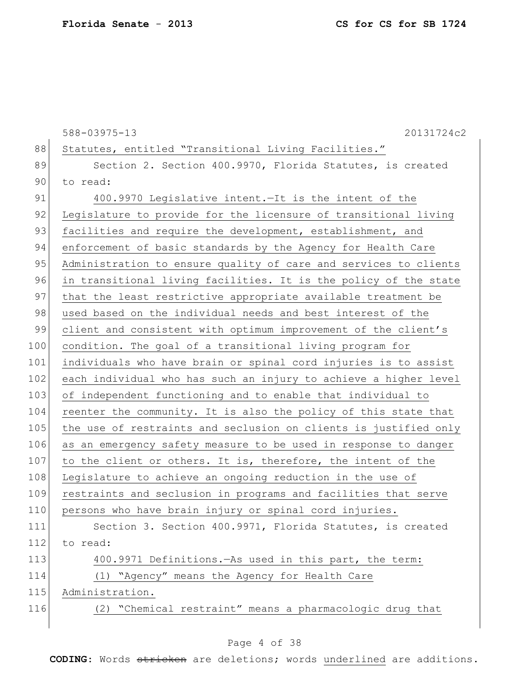|     | 588-03975-13<br>20131724c2                                       |
|-----|------------------------------------------------------------------|
| 88  | Statutes, entitled "Transitional Living Facilities."             |
| 89  | Section 2. Section 400.9970, Florida Statutes, is created        |
| 90  | to read:                                                         |
| 91  | 400.9970 Legislative intent. - It is the intent of the           |
| 92  | Legislature to provide for the licensure of transitional living  |
| 93  | facilities and require the development, establishment, and       |
| 94  | enforcement of basic standards by the Agency for Health Care     |
| 95  | Administration to ensure quality of care and services to clients |
| 96  | in transitional living facilities. It is the policy of the state |
| 97  | that the least restrictive appropriate available treatment be    |
| 98  | used based on the individual needs and best interest of the      |
| 99  | client and consistent with optimum improvement of the client's   |
| 100 | condition. The goal of a transitional living program for         |
| 101 | individuals who have brain or spinal cord injuries is to assist  |
| 102 | each individual who has such an injury to achieve a higher level |
| 103 | of independent functioning and to enable that individual to      |
| 104 | reenter the community. It is also the policy of this state that  |
| 105 | the use of restraints and seclusion on clients is justified only |
| 106 | as an emergency safety measure to be used in response to danger  |
| 107 | to the client or others. It is, therefore, the intent of the     |
| 108 | Legislature to achieve an ongoing reduction in the use of        |
| 109 | restraints and seclusion in programs and facilities that serve   |
| 110 | persons who have brain injury or spinal cord injuries.           |
| 111 | Section 3. Section 400.9971, Florida Statutes, is created        |
| 112 | to read:                                                         |
| 113 | 400.9971 Definitions. - As used in this part, the term:          |
| 114 | (1) "Agency" means the Agency for Health Care                    |
| 115 | Administration.                                                  |
| 116 | (2) "Chemical restraint" means a pharmacologic drug that         |
|     |                                                                  |

## Page 4 of 38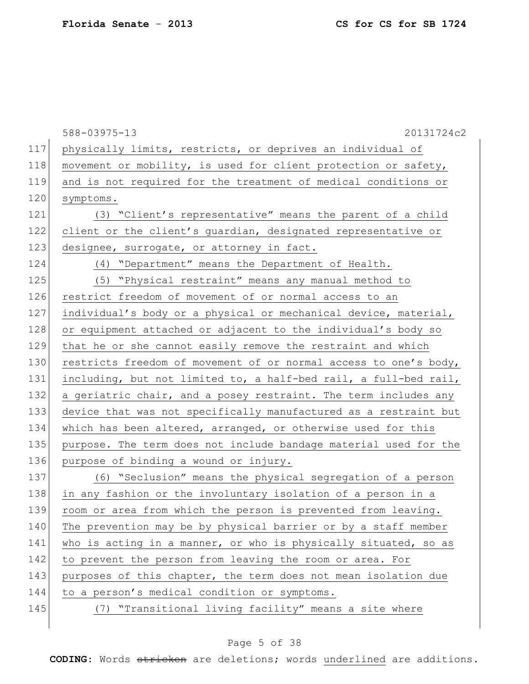|     | 588-03975-13<br>20131724c2                                       |
|-----|------------------------------------------------------------------|
| 117 | physically limits, restricts, or deprives an individual of       |
| 118 | movement or mobility, is used for client protection or safety,   |
| 119 | and is not required for the treatment of medical conditions or   |
| 120 | symptoms.                                                        |
| 121 | (3) "Client's representative" means the parent of a child        |
| 122 | client or the client's guardian, designated representative or    |
| 123 | designee, surrogate, or attorney in fact.                        |
| 124 | (4) "Department" means the Department of Health.                 |
| 125 | (5) "Physical restraint" means any manual method to              |
| 126 | restrict freedom of movement of or normal access to an           |
| 127 | individual's body or a physical or mechanical device, material,  |
| 128 | or equipment attached or adjacent to the individual's body so    |
| 129 | that he or she cannot easily remove the restraint and which      |
| 130 | restricts freedom of movement of or normal access to one's body, |
| 131 | including, but not limited to, a half-bed rail, a full-bed rail, |
| 132 | a geriatric chair, and a posey restraint. The term includes any  |
| 133 | device that was not specifically manufactured as a restraint but |
| 134 | which has been altered, arranged, or otherwise used for this     |
| 135 | purpose. The term does not include bandage material used for the |
| 136 | purpose of binding a wound or injury.                            |
| 137 | (6) "Seclusion" means the physical segregation of a person       |
| 138 | in any fashion or the involuntary isolation of a person in a     |
| 139 | room or area from which the person is prevented from leaving.    |
| 140 | The prevention may be by physical barrier or by a staff member   |
| 141 | who is acting in a manner, or who is physically situated, so as  |
| 142 | to prevent the person from leaving the room or area. For         |
| 143 | purposes of this chapter, the term does not mean isolation due   |
| 144 | to a person's medical condition or symptoms.                     |
| 145 | (7) "Transitional living facility" means a site where            |
|     |                                                                  |

## Page 5 of 38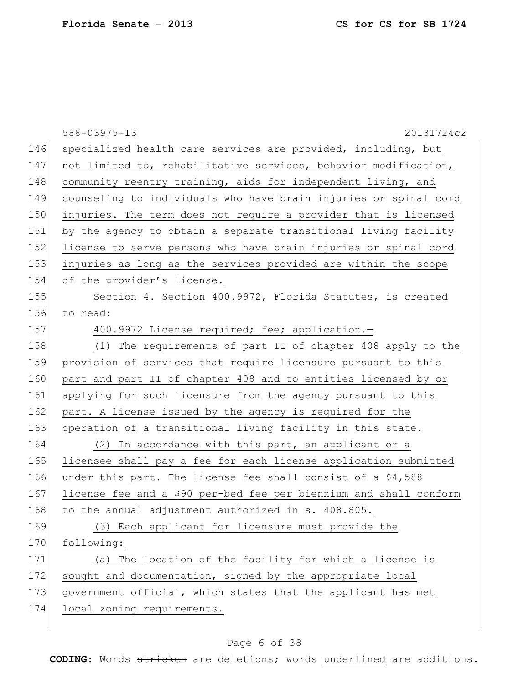|     | 588-03975-13<br>20131724c2                                        |
|-----|-------------------------------------------------------------------|
| 146 | specialized health care services are provided, including, but     |
| 147 | not limited to, rehabilitative services, behavior modification,   |
| 148 | community reentry training, aids for independent living, and      |
| 149 | counseling to individuals who have brain injuries or spinal cord  |
| 150 | injuries. The term does not require a provider that is licensed   |
| 151 | by the agency to obtain a separate transitional living facility   |
| 152 | license to serve persons who have brain injuries or spinal cord   |
| 153 | injuries as long as the services provided are within the scope    |
| 154 | of the provider's license.                                        |
| 155 | Section 4. Section 400.9972, Florida Statutes, is created         |
| 156 | to read:                                                          |
| 157 | 400.9972 License required; fee; application.-                     |
| 158 | (1) The requirements of part II of chapter 408 apply to the       |
| 159 | provision of services that require licensure pursuant to this     |
| 160 | part and part II of chapter 408 and to entities licensed by or    |
| 161 | applying for such licensure from the agency pursuant to this      |
| 162 | part. A license issued by the agency is required for the          |
| 163 | operation of a transitional living facility in this state.        |
| 164 | (2) In accordance with this part, an applicant or a               |
| 165 | licensee shall pay a fee for each license application submitted   |
| 166 | under this part. The license fee shall consist of a \$4,588       |
| 167 | license fee and a \$90 per-bed fee per biennium and shall conform |
| 168 | to the annual adjustment authorized in s. 408.805.                |
| 169 | (3) Each applicant for licensure must provide the                 |
| 170 | following:                                                        |
| 171 | (a) The location of the facility for which a license is           |
| 172 | sought and documentation, signed by the appropriate local         |
| 173 | government official, which states that the applicant has met      |
| 174 | local zoning requirements.                                        |
|     |                                                                   |

## Page 6 of 38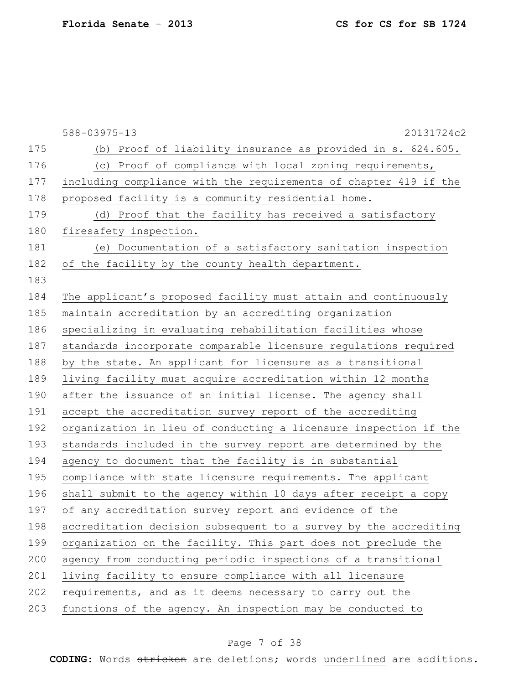|     | 588-03975-13<br>20131724c2                                       |
|-----|------------------------------------------------------------------|
| 175 | (b) Proof of liability insurance as provided in s. 624.605.      |
| 176 | (c) Proof of compliance with local zoning requirements,          |
| 177 | including compliance with the requirements of chapter 419 if the |
| 178 | proposed facility is a community residential home.               |
| 179 | (d) Proof that the facility has received a satisfactory          |
| 180 | firesafety inspection.                                           |
| 181 | (e) Documentation of a satisfactory sanitation inspection        |
| 182 | of the facility by the county health department.                 |
| 183 |                                                                  |
| 184 | The applicant's proposed facility must attain and continuously   |
| 185 | maintain accreditation by an accrediting organization            |
| 186 | specializing in evaluating rehabilitation facilities whose       |
| 187 | standards incorporate comparable licensure regulations required  |
| 188 | by the state. An applicant for licensure as a transitional       |
| 189 | living facility must acquire accreditation within 12 months      |
| 190 | after the issuance of an initial license. The agency shall       |
| 191 | accept the accreditation survey report of the accrediting        |
| 192 | organization in lieu of conducting a licensure inspection if the |
| 193 | standards included in the survey report are determined by the    |
| 194 | agency to document that the facility is in substantial           |
| 195 | compliance with state licensure requirements. The applicant      |
| 196 | shall submit to the agency within 10 days after receipt a copy   |
| 197 | of any accreditation survey report and evidence of the           |
| 198 | accreditation decision subsequent to a survey by the accrediting |
| 199 | organization on the facility. This part does not preclude the    |
| 200 | agency from conducting periodic inspections of a transitional    |
| 201 | living facility to ensure compliance with all licensure          |
| 202 | requirements, and as it deems necessary to carry out the         |
| 203 | functions of the agency. An inspection may be conducted to       |
|     |                                                                  |

## Page 7 of 38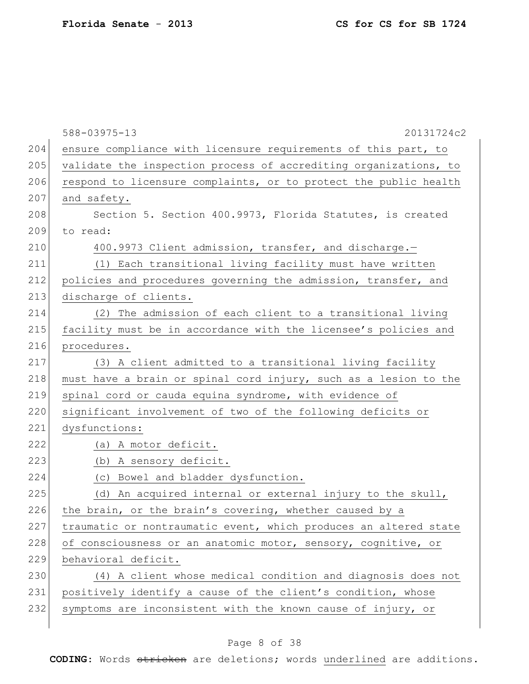|     | 588-03975-13<br>20131724c2                                       |
|-----|------------------------------------------------------------------|
| 204 | ensure compliance with licensure requirements of this part, to   |
| 205 | validate the inspection process of accrediting organizations, to |
| 206 | respond to licensure complaints, or to protect the public health |
| 207 | and safety.                                                      |
| 208 | Section 5. Section 400.9973, Florida Statutes, is created        |
| 209 | to read:                                                         |
| 210 | 400.9973 Client admission, transfer, and discharge.-             |
| 211 | (1) Each transitional living facility must have written          |
| 212 | policies and procedures governing the admission, transfer, and   |
| 213 | discharge of clients.                                            |
| 214 | (2) The admission of each client to a transitional living        |
| 215 | facility must be in accordance with the licensee's policies and  |
| 216 | procedures.                                                      |
| 217 | (3) A client admitted to a transitional living facility          |
| 218 | must have a brain or spinal cord injury, such as a lesion to the |
| 219 | spinal cord or cauda equina syndrome, with evidence of           |
| 220 | significant involvement of two of the following deficits or      |
| 221 | dysfunctions:                                                    |
| 222 | (a) A motor deficit.                                             |
| 223 | (b) A sensory deficit.                                           |
| 224 | (c) Bowel and bladder dysfunction.                               |
| 225 | (d) An acquired internal or external injury to the skull,        |
| 226 | the brain, or the brain's covering, whether caused by a          |
| 227 | traumatic or nontraumatic event, which produces an altered state |
| 228 | of consciousness or an anatomic motor, sensory, cognitive, or    |
| 229 | behavioral deficit.                                              |
| 230 | (4) A client whose medical condition and diagnosis does not      |
| 231 | positively identify a cause of the client's condition, whose     |
| 232 | symptoms are inconsistent with the known cause of injury, or     |
|     |                                                                  |

## Page 8 of 38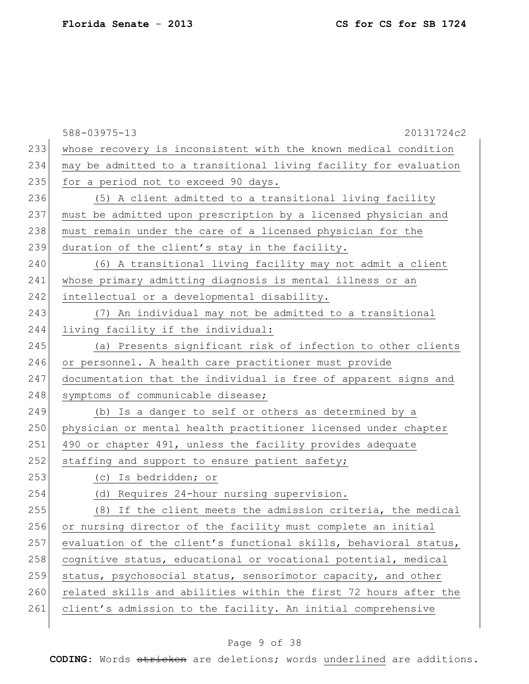|     | 588-03975-13<br>20131724c2                                       |
|-----|------------------------------------------------------------------|
| 233 | whose recovery is inconsistent with the known medical condition  |
| 234 | may be admitted to a transitional living facility for evaluation |
| 235 | for a period not to exceed 90 days.                              |
| 236 | (5) A client admitted to a transitional living facility          |
| 237 | must be admitted upon prescription by a licensed physician and   |
| 238 | must remain under the care of a licensed physician for the       |
| 239 | duration of the client's stay in the facility.                   |
| 240 | (6) A transitional living facility may not admit a client        |
| 241 | whose primary admitting diagnosis is mental illness or an        |
| 242 | intellectual or a developmental disability.                      |
| 243 | (7) An individual may not be admitted to a transitional          |
| 244 | living facility if the individual:                               |
| 245 | (a) Presents significant risk of infection to other clients      |
| 246 | or personnel. A health care practitioner must provide            |
| 247 | documentation that the individual is free of apparent signs and  |
| 248 | symptoms of communicable disease;                                |
| 249 | (b) Is a danger to self or others as determined by a             |
| 250 | physician or mental health practitioner licensed under chapter   |
| 251 | 490 or chapter 491, unless the facility provides adequate        |
| 252 | staffing and support to ensure patient safety;                   |
| 253 | (c) Is bedridden; or                                             |
| 254 | (d) Requires 24-hour nursing supervision.                        |
| 255 | (8) If the client meets the admission criteria, the medical      |
| 256 | or nursing director of the facility must complete an initial     |
| 257 | evaluation of the client's functional skills, behavioral status, |
| 258 | cognitive status, educational or vocational potential, medical   |
| 259 | status, psychosocial status, sensorimotor capacity, and other    |
| 260 | related skills and abilities within the first 72 hours after the |
| 261 | client's admission to the facility. An initial comprehensive     |
|     |                                                                  |

## Page 9 of 38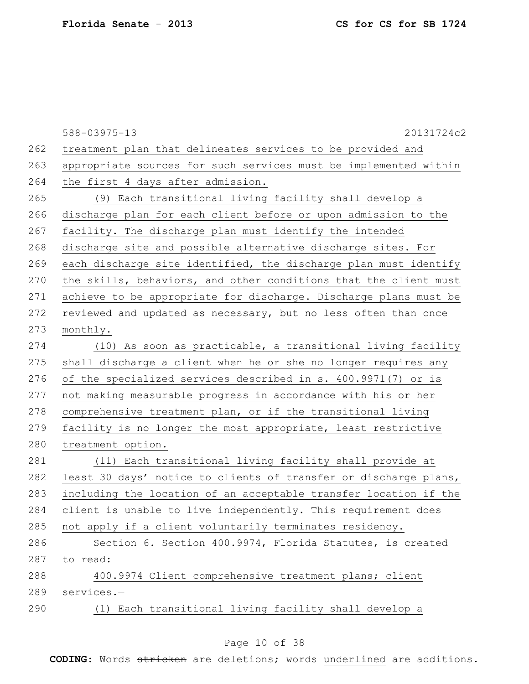|     | 588-03975-13<br>20131724c2                                       |
|-----|------------------------------------------------------------------|
| 262 | treatment plan that delineates services to be provided and       |
| 263 | appropriate sources for such services must be implemented within |
| 264 | the first 4 days after admission.                                |
| 265 | (9) Each transitional living facility shall develop a            |
| 266 | discharge plan for each client before or upon admission to the   |
| 267 | facility. The discharge plan must identify the intended          |
| 268 | discharge site and possible alternative discharge sites. For     |
| 269 | each discharge site identified, the discharge plan must identify |
| 270 | the skills, behaviors, and other conditions that the client must |
| 271 | achieve to be appropriate for discharge. Discharge plans must be |
| 272 | reviewed and updated as necessary, but no less often than once   |
| 273 | monthly.                                                         |
| 274 | (10) As soon as practicable, a transitional living facility      |
| 275 | shall discharge a client when he or she no longer requires any   |
| 276 | of the specialized services described in s. 400.9971(7) or is    |
| 277 | not making measurable progress in accordance with his or her     |
| 278 | comprehensive treatment plan, or if the transitional living      |
| 279 | facility is no longer the most appropriate, least restrictive    |
| 280 | treatment option.                                                |
| 281 | (11) Each transitional living facility shall provide at          |
| 282 | least 30 days' notice to clients of transfer or discharge plans, |
| 283 | including the location of an acceptable transfer location if the |
| 284 | client is unable to live independently. This requirement does    |
| 285 | not apply if a client voluntarily terminates residency.          |
| 286 | Section 6. Section 400.9974, Florida Statutes, is created        |
| 287 | to read:                                                         |
| 288 | 400.9974 Client comprehensive treatment plans; client            |
| 289 | services.-                                                       |
| 290 | (1) Each transitional living facility shall develop a            |
|     |                                                                  |

## Page 10 of 38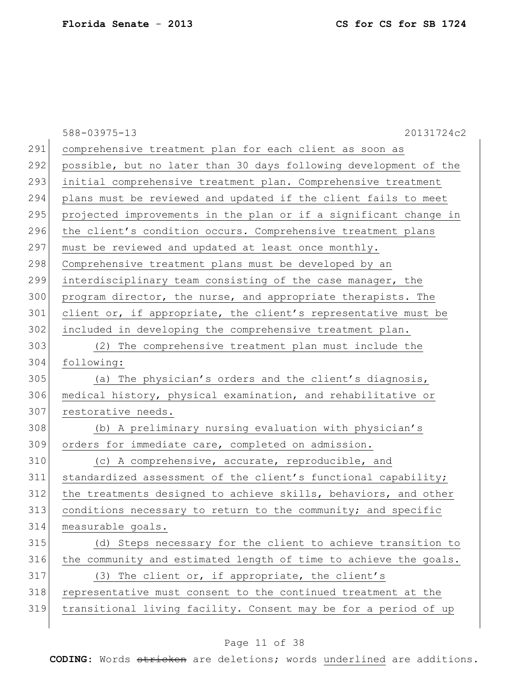|     | 588-03975-13<br>20131724c2                                       |
|-----|------------------------------------------------------------------|
| 291 | comprehensive treatment plan for each client as soon as          |
| 292 | possible, but no later than 30 days following development of the |
| 293 | initial comprehensive treatment plan. Comprehensive treatment    |
| 294 | plans must be reviewed and updated if the client fails to meet   |
| 295 | projected improvements in the plan or if a significant change in |
| 296 | the client's condition occurs. Comprehensive treatment plans     |
| 297 | must be reviewed and updated at least once monthly.              |
| 298 | Comprehensive treatment plans must be developed by an            |
| 299 | interdisciplinary team consisting of the case manager, the       |
| 300 | program director, the nurse, and appropriate therapists. The     |
| 301 | client or, if appropriate, the client's representative must be   |
| 302 | included in developing the comprehensive treatment plan.         |
| 303 | (2) The comprehensive treatment plan must include the            |
| 304 | following:                                                       |
| 305 | (a) The physician's orders and the client's diagnosis,           |
| 306 | medical history, physical examination, and rehabilitative or     |
| 307 | restorative needs.                                               |
| 308 | (b) A preliminary nursing evaluation with physician's            |
| 309 | orders for immediate care, completed on admission.               |
| 310 | (c) A comprehensive, accurate, reproducible, and                 |
| 311 | standardized assessment of the client's functional capability;   |
| 312 | the treatments designed to achieve skills, behaviors, and other  |
| 313 | conditions necessary to return to the community; and specific    |
| 314 | measurable goals.                                                |
| 315 | (d) Steps necessary for the client to achieve transition to      |
| 316 | the community and estimated length of time to achieve the goals. |
| 317 | (3) The client or, if appropriate, the client's                  |
| 318 | representative must consent to the continued treatment at the    |
| 319 | transitional living facility. Consent may be for a period of up  |
|     |                                                                  |

## Page 11 of 38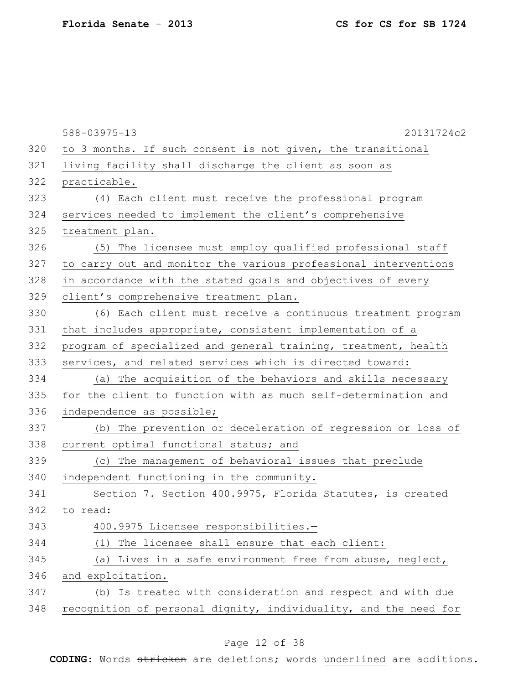|     | 588-03975-13<br>20131724c2                                       |
|-----|------------------------------------------------------------------|
| 320 | to 3 months. If such consent is not given, the transitional      |
| 321 | living facility shall discharge the client as soon as            |
| 322 | practicable.                                                     |
| 323 | (4) Each client must receive the professional program            |
| 324 | services needed to implement the client's comprehensive          |
| 325 | treatment plan.                                                  |
| 326 | (5) The licensee must employ qualified professional staff        |
| 327 | to carry out and monitor the various professional interventions  |
| 328 | in accordance with the stated goals and objectives of every      |
| 329 | client's comprehensive treatment plan.                           |
| 330 | (6) Each client must receive a continuous treatment program      |
| 331 | that includes appropriate, consistent implementation of a        |
| 332 | program of specialized and general training, treatment, health   |
| 333 | services, and related services which is directed toward:         |
| 334 | (a) The acquisition of the behaviors and skills necessary        |
| 335 | for the client to function with as much self-determination and   |
| 336 | independence as possible;                                        |
| 337 | (b) The prevention or deceleration of regression or loss of      |
| 338 | current optimal functional status; and                           |
| 339 | (c) The management of behavioral issues that preclude            |
| 340 | independent functioning in the community.                        |
| 341 | Section 7. Section 400.9975, Florida Statutes, is created        |
| 342 | to read:                                                         |
| 343 | 400.9975 Licensee responsibilities.-                             |
| 344 | The licensee shall ensure that each client:<br>(1)               |
| 345 | (a) Lives in a safe environment free from abuse, neglect,        |
| 346 | and exploitation.                                                |
| 347 | (b) Is treated with consideration and respect and with due       |
| 348 | recognition of personal dignity, individuality, and the need for |
|     |                                                                  |

## Page 12 of 38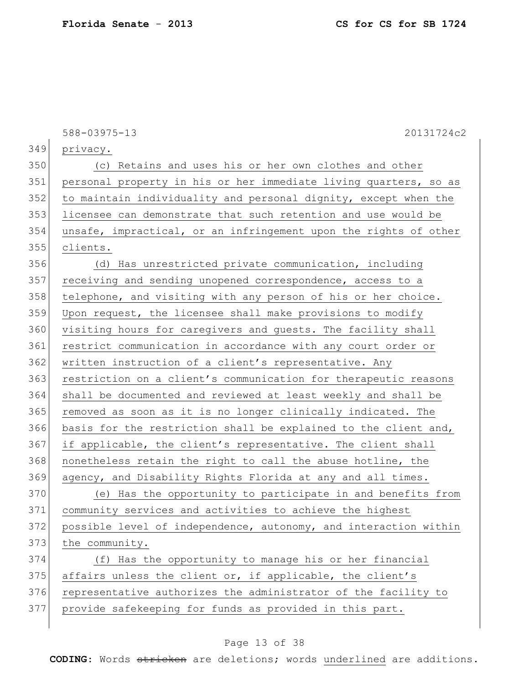|     | 588-03975-13<br>20131724c2                                       |
|-----|------------------------------------------------------------------|
| 349 | privacy.                                                         |
| 350 | (c) Retains and uses his or her own clothes and other            |
| 351 | personal property in his or her immediate living quarters, so as |
| 352 | to maintain individuality and personal dignity, except when the  |
| 353 | licensee can demonstrate that such retention and use would be    |
| 354 | unsafe, impractical, or an infringement upon the rights of other |
| 355 | clients.                                                         |
| 356 | (d) Has unrestricted private communication, including            |
| 357 | receiving and sending unopened correspondence, access to a       |
| 358 | telephone, and visiting with any person of his or her choice.    |
| 359 | Upon request, the licensee shall make provisions to modify       |
| 360 | visiting hours for caregivers and quests. The facility shall     |
| 361 | restrict communication in accordance with any court order or     |
| 362 | written instruction of a client's representative. Any            |
| 363 | restriction on a client's communication for therapeutic reasons  |
| 364 | shall be documented and reviewed at least weekly and shall be    |
| 365 | removed as soon as it is no longer clinically indicated. The     |
| 366 | basis for the restriction shall be explained to the client and,  |
| 367 | if applicable, the client's representative. The client shall     |
| 368 | nonetheless retain the right to call the abuse hotline, the      |
| 369 | agency, and Disability Rights Florida at any and all times.      |
| 370 | (e) Has the opportunity to participate in and benefits from      |
| 371 | community services and activities to achieve the highest         |
| 372 | possible level of independence, autonomy, and interaction within |
| 373 | the community.                                                   |
| 374 | (f) Has the opportunity to manage his or her financial           |
| 375 | affairs unless the client or, if applicable, the client's        |
| 376 | representative authorizes the administrator of the facility to   |
| 377 | provide safekeeping for funds as provided in this part.          |

## Page 13 of 38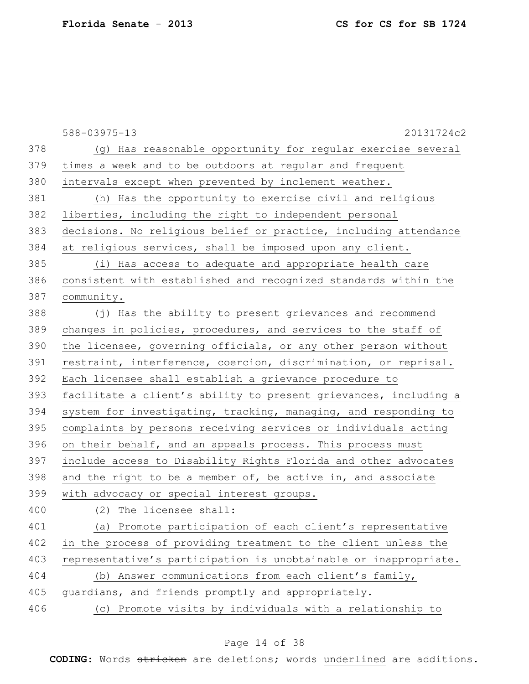|     | 588-03975-13<br>20131724c2                                       |
|-----|------------------------------------------------------------------|
| 378 | (g) Has reasonable opportunity for regular exercise several      |
| 379 | times a week and to be outdoors at regular and frequent          |
| 380 | intervals except when prevented by inclement weather.            |
| 381 | (h) Has the opportunity to exercise civil and religious          |
| 382 | liberties, including the right to independent personal           |
| 383 | decisions. No religious belief or practice, including attendance |
| 384 | at religious services, shall be imposed upon any client.         |
| 385 | (i) Has access to adequate and appropriate health care           |
| 386 | consistent with established and recognized standards within the  |
| 387 | community.                                                       |
| 388 | (j) Has the ability to present grievances and recommend          |
| 389 | changes in policies, procedures, and services to the staff of    |
| 390 | the licensee, governing officials, or any other person without   |
| 391 | restraint, interference, coercion, discrimination, or reprisal.  |
| 392 | Each licensee shall establish a grievance procedure to           |
| 393 | facilitate a client's ability to present grievances, including a |
| 394 | system for investigating, tracking, managing, and responding to  |
| 395 | complaints by persons receiving services or individuals acting   |
| 396 | on their behalf, and an appeals process. This process must       |
| 397 | include access to Disability Rights Florida and other advocates  |
| 398 | and the right to be a member of, be active in, and associate     |
| 399 | with advocacy or special interest groups.                        |
| 400 | (2) The licensee shall:                                          |
| 401 | (a) Promote participation of each client's representative        |
| 402 | in the process of providing treatment to the client unless the   |
| 403 | representative's participation is unobtainable or inappropriate. |
| 404 | (b) Answer communications from each client's family,             |
| 405 | guardians, and friends promptly and appropriately.               |
| 406 | (c) Promote visits by individuals with a relationship to         |
|     |                                                                  |

## Page 14 of 38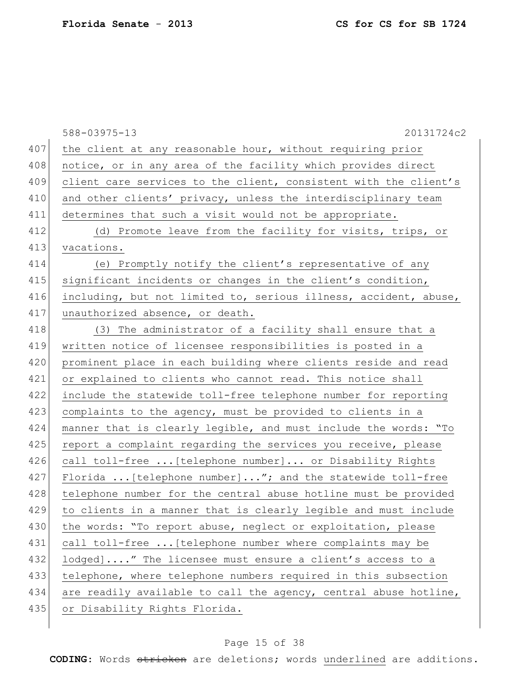|     | 588-03975-13<br>20131724c2                                       |
|-----|------------------------------------------------------------------|
| 407 | the client at any reasonable hour, without requiring prior       |
| 408 | notice, or in any area of the facility which provides direct     |
| 409 | client care services to the client, consistent with the client's |
| 410 | and other clients' privacy, unless the interdisciplinary team    |
| 411 | determines that such a visit would not be appropriate.           |
| 412 | (d) Promote leave from the facility for visits, trips, or        |
| 413 | vacations.                                                       |
| 414 | (e) Promptly notify the client's representative of any           |
| 415 | significant incidents or changes in the client's condition,      |
| 416 | including, but not limited to, serious illness, accident, abuse, |
| 417 | unauthorized absence, or death.                                  |
| 418 | (3) The administrator of a facility shall ensure that a          |
| 419 | written notice of licensee responsibilities is posted in a       |
| 420 | prominent place in each building where clients reside and read   |
| 421 | or explained to clients who cannot read. This notice shall       |
| 422 | include the statewide toll-free telephone number for reporting   |
| 423 | complaints to the agency, must be provided to clients in a       |
| 424 | manner that is clearly legible, and must include the words: "To  |
| 425 | report a complaint regarding the services you receive, please    |
| 426 | call toll-free  [telephone number] or Disability Rights          |
| 427 | Florida  [telephone number]"; and the statewide toll-free        |
| 428 | telephone number for the central abuse hotline must be provided  |
| 429 | to clients in a manner that is clearly legible and must include  |
| 430 | the words: "To report abuse, neglect or exploitation, please     |
| 431 | call toll-free  [telephone number where complaints may be        |
| 432 | lodged]" The licensee must ensure a client's access to a         |
| 433 | telephone, where telephone numbers required in this subsection   |
| 434 | are readily available to call the agency, central abuse hotline, |
| 435 | or Disability Rights Florida.                                    |
|     |                                                                  |

## Page 15 of 38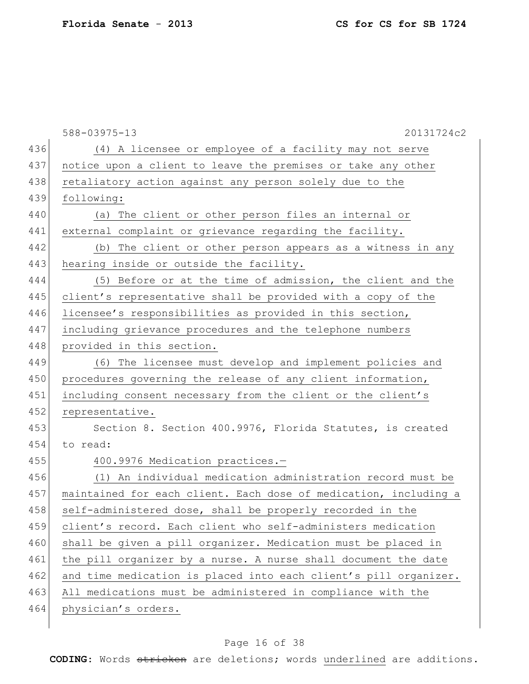|     | $588 - 03975 - 13$<br>20131724c2                                 |
|-----|------------------------------------------------------------------|
| 436 | (4) A licensee or employee of a facility may not serve           |
| 437 | notice upon a client to leave the premises or take any other     |
| 438 | retaliatory action against any person solely due to the          |
| 439 | following:                                                       |
| 440 | (a) The client or other person files an internal or              |
| 441 | external complaint or grievance regarding the facility.          |
| 442 | (b) The client or other person appears as a witness in any       |
| 443 | hearing inside or outside the facility.                          |
| 444 | (5) Before or at the time of admission, the client and the       |
| 445 | client's representative shall be provided with a copy of the     |
| 446 | licensee's responsibilities as provided in this section,         |
| 447 | including grievance procedures and the telephone numbers         |
| 448 | provided in this section.                                        |
| 449 | (6) The licensee must develop and implement policies and         |
| 450 | procedures governing the release of any client information,      |
| 451 | including consent necessary from the client or the client's      |
| 452 | representative.                                                  |
| 453 | Section 8. Section 400.9976, Florida Statutes, is created        |
| 454 | to read:                                                         |
| 455 | 400.9976 Medication practices.-                                  |
| 456 | (1) An individual medication administration record must be       |
| 457 | maintained for each client. Each dose of medication, including a |
| 458 | self-administered dose, shall be properly recorded in the        |
| 459 | client's record. Each client who self-administers medication     |
| 460 | shall be given a pill organizer. Medication must be placed in    |
| 461 | the pill organizer by a nurse. A nurse shall document the date   |
| 462 | and time medication is placed into each client's pill organizer. |
| 463 | All medications must be administered in compliance with the      |
| 464 | physician's orders.                                              |
|     |                                                                  |

## Page 16 of 38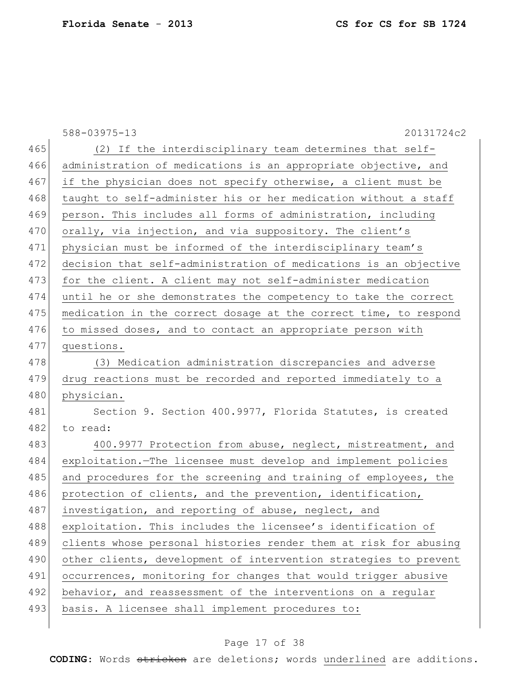|     | 588-03975-13<br>20131724c2                                       |
|-----|------------------------------------------------------------------|
| 465 | (2) If the interdisciplinary team determines that self-          |
| 466 | administration of medications is an appropriate objective, and   |
| 467 | if the physician does not specify otherwise, a client must be    |
| 468 | taught to self-administer his or her medication without a staff  |
| 469 | person. This includes all forms of administration, including     |
| 470 | orally, via injection, and via suppository. The client's         |
| 471 | physician must be informed of the interdisciplinary team's       |
| 472 | decision that self-administration of medications is an objective |
| 473 | for the client. A client may not self-administer medication      |
| 474 | until he or she demonstrates the competency to take the correct  |
| 475 | medication in the correct dosage at the correct time, to respond |
| 476 | to missed doses, and to contact an appropriate person with       |
| 477 | questions.                                                       |
| 478 | (3) Medication administration discrepancies and adverse          |
| 479 | drug reactions must be recorded and reported immediately to a    |
| 480 | physician.                                                       |
| 481 | Section 9. Section 400.9977, Florida Statutes, is created        |
| 482 | to read:                                                         |
| 483 | 400.9977 Protection from abuse, neglect, mistreatment, and       |
| 484 | exploitation. The licensee must develop and implement policies   |
| 485 | and procedures for the screening and training of employees, the  |
| 486 | protection of clients, and the prevention, identification,       |
| 487 | investigation, and reporting of abuse, neglect, and              |
| 488 | exploitation. This includes the licensee's identification of     |
| 489 | clients whose personal histories render them at risk for abusing |
| 490 | other clients, development of intervention strategies to prevent |
| 491 | occurrences, monitoring for changes that would trigger abusive   |
| 492 | behavior, and reassessment of the interventions on a regular     |
| 493 | basis. A licensee shall implement procedures to:                 |
|     |                                                                  |

## Page 17 of 38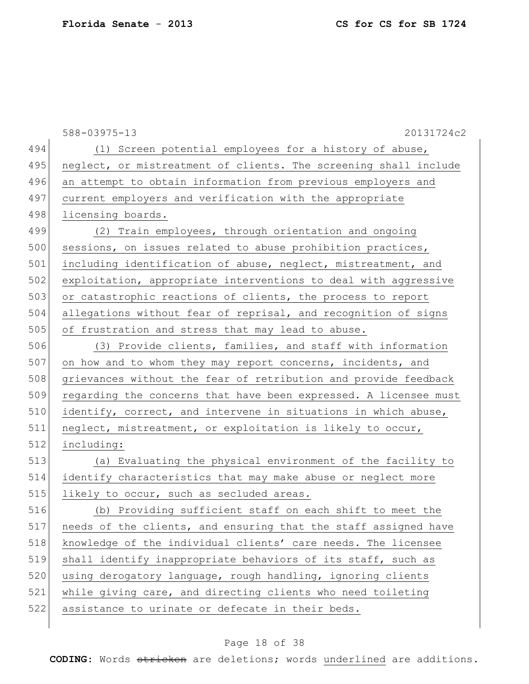|     | 588-03975-13<br>20131724c2                                       |
|-----|------------------------------------------------------------------|
| 494 | (1) Screen potential employees for a history of abuse,           |
| 495 | neglect, or mistreatment of clients. The screening shall include |
| 496 | an attempt to obtain information from previous employers and     |
| 497 | current employers and verification with the appropriate          |
| 498 | licensing boards.                                                |
| 499 | (2) Train employees, through orientation and ongoing             |
| 500 | sessions, on issues related to abuse prohibition practices,      |
| 501 | including identification of abuse, neglect, mistreatment, and    |
| 502 | exploitation, appropriate interventions to deal with aggressive  |
| 503 | or catastrophic reactions of clients, the process to report      |
| 504 | allegations without fear of reprisal, and recognition of signs   |
| 505 | of frustration and stress that may lead to abuse.                |
| 506 | (3) Provide clients, families, and staff with information        |
| 507 | on how and to whom they may report concerns, incidents, and      |
| 508 | grievances without the fear of retribution and provide feedback  |
| 509 | regarding the concerns that have been expressed. A licensee must |
| 510 | identify, correct, and intervene in situations in which abuse,   |
| 511 | neglect, mistreatment, or exploitation is likely to occur,       |
| 512 | including:                                                       |
| 513 | (a) Evaluating the physical environment of the facility to       |
| 514 | identify characteristics that may make abuse or neglect more     |
| 515 | likely to occur, such as secluded areas.                         |
| 516 | (b) Providing sufficient staff on each shift to meet the         |
| 517 | needs of the clients, and ensuring that the staff assigned have  |
| 518 | knowledge of the individual clients' care needs. The licensee    |
| 519 | shall identify inappropriate behaviors of its staff, such as     |
| 520 | using derogatory language, rough handling, ignoring clients      |
| 521 | while giving care, and directing clients who need toileting      |
| 522 | assistance to urinate or defecate in their beds.                 |
|     |                                                                  |

## Page 18 of 38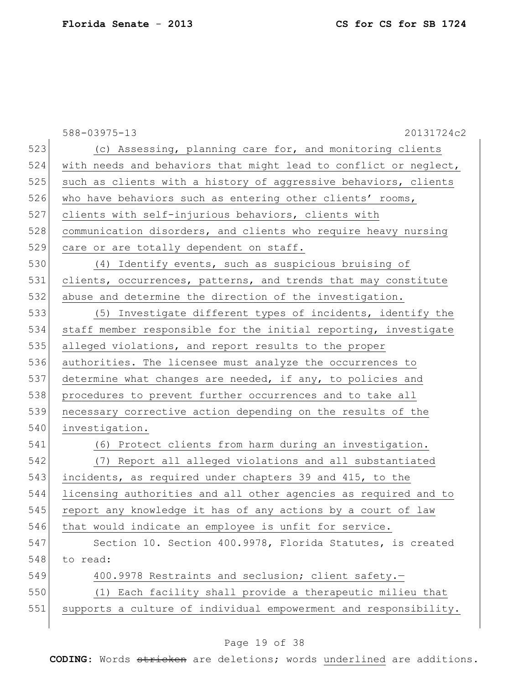|     | 588-03975-13<br>20131724c2                                       |
|-----|------------------------------------------------------------------|
| 523 | (c) Assessing, planning care for, and monitoring clients         |
| 524 | with needs and behaviors that might lead to conflict or neglect, |
| 525 | such as clients with a history of aggressive behaviors, clients  |
| 526 | who have behaviors such as entering other clients' rooms,        |
| 527 | clients with self-injurious behaviors, clients with              |
| 528 | communication disorders, and clients who require heavy nursing   |
| 529 | care or are totally dependent on staff.                          |
| 530 | (4) Identify events, such as suspicious bruising of              |
| 531 | clients, occurrences, patterns, and trends that may constitute   |
| 532 | abuse and determine the direction of the investigation.          |
| 533 | (5) Investigate different types of incidents, identify the       |
| 534 | staff member responsible for the initial reporting, investigate  |
| 535 | alleged violations, and report results to the proper             |
| 536 | authorities. The licensee must analyze the occurrences to        |
| 537 | determine what changes are needed, if any, to policies and       |
| 538 | procedures to prevent further occurrences and to take all        |
| 539 | necessary corrective action depending on the results of the      |
| 540 | investigation.                                                   |
| 541 | (6) Protect clients from harm during an investigation.           |
| 542 | (7) Report all alleged violations and all substantiated          |
| 543 | incidents, as required under chapters 39 and 415, to the         |
| 544 | licensing authorities and all other agencies as required and to  |
| 545 | report any knowledge it has of any actions by a court of law     |
| 546 | that would indicate an employee is unfit for service.            |
| 547 | Section 10. Section 400.9978, Florida Statutes, is created       |
| 548 | to read:                                                         |
| 549 | 400.9978 Restraints and seclusion; client safety.-               |
| 550 | (1) Each facility shall provide a therapeutic milieu that        |
| 551 | supports a culture of individual empowerment and responsibility. |
|     |                                                                  |

## Page 19 of 38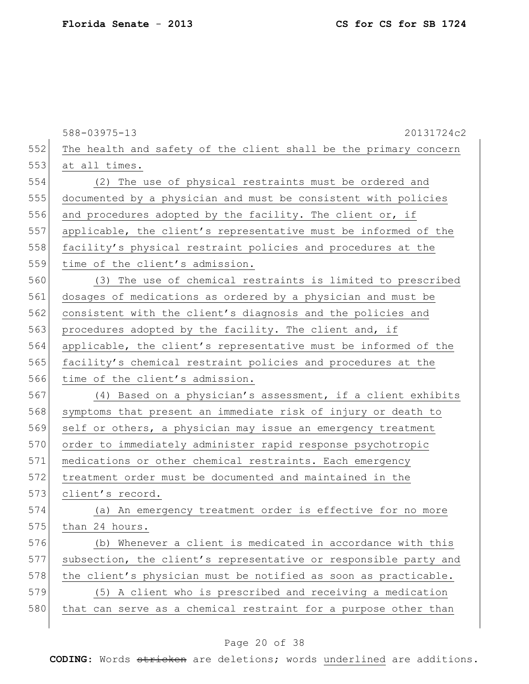|     | 588-03975-13<br>20131724c2                                       |
|-----|------------------------------------------------------------------|
| 552 | The health and safety of the client shall be the primary concern |
| 553 | at all times.                                                    |
| 554 | (2) The use of physical restraints must be ordered and           |
| 555 | documented by a physician and must be consistent with policies   |
| 556 | and procedures adopted by the facility. The client or, if        |
| 557 | applicable, the client's representative must be informed of the  |
| 558 | facility's physical restraint policies and procedures at the     |
| 559 | time of the client's admission.                                  |
| 560 | (3) The use of chemical restraints is limited to prescribed      |
| 561 | dosages of medications as ordered by a physician and must be     |
| 562 | consistent with the client's diagnosis and the policies and      |
| 563 | procedures adopted by the facility. The client and, if           |
| 564 | applicable, the client's representative must be informed of the  |
| 565 | facility's chemical restraint policies and procedures at the     |
| 566 | time of the client's admission.                                  |
| 567 | (4) Based on a physician's assessment, if a client exhibits      |
| 568 | symptoms that present an immediate risk of injury or death to    |
| 569 | self or others, a physician may issue an emergency treatment     |
| 570 | order to immediately administer rapid response psychotropic      |
| 571 | medications or other chemical restraints. Each emergency         |
| 572 | treatment order must be documented and maintained in the         |
| 573 | client's record.                                                 |
| 574 | (a) An emergency treatment order is effective for no more        |
| 575 | than 24 hours.                                                   |
| 576 | (b) Whenever a client is medicated in accordance with this       |
| 577 | subsection, the client's representative or responsible party and |
| 578 | the client's physician must be notified as soon as practicable.  |
| 579 | (5) A client who is prescribed and receiving a medication        |
| 580 | that can serve as a chemical restraint for a purpose other than  |
|     |                                                                  |

## Page 20 of 38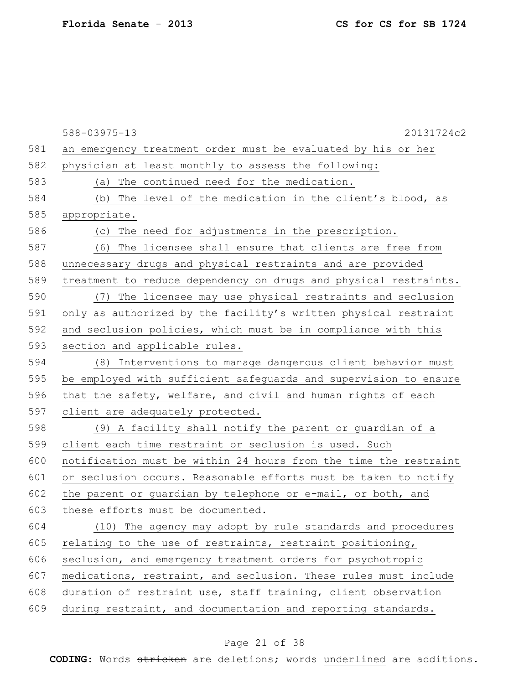|     | 588-03975-13<br>20131724c2                                       |
|-----|------------------------------------------------------------------|
| 581 | an emergency treatment order must be evaluated by his or her     |
| 582 | physician at least monthly to assess the following:              |
| 583 | The continued need for the medication.<br>(a)                    |
| 584 | (b) The level of the medication in the client's blood, as        |
| 585 | appropriate.                                                     |
| 586 | The need for adjustments in the prescription.<br>(C)             |
| 587 | The licensee shall ensure that clients are free from<br>(6)      |
| 588 | unnecessary drugs and physical restraints and are provided       |
| 589 | treatment to reduce dependency on drugs and physical restraints. |
| 590 | The licensee may use physical restraints and seclusion<br>(7)    |
| 591 | only as authorized by the facility's written physical restraint  |
| 592 | and seclusion policies, which must be in compliance with this    |
| 593 | section and applicable rules.                                    |
| 594 | (8) Interventions to manage dangerous client behavior must       |
| 595 | be employed with sufficient safeguards and supervision to ensure |
| 596 | that the safety, welfare, and civil and human rights of each     |
| 597 | client are adequately protected.                                 |
| 598 | (9) A facility shall notify the parent or guardian of a          |
| 599 | client each time restraint or seclusion is used. Such            |
| 600 | notification must be within 24 hours from the time the restraint |
| 601 | or seclusion occurs. Reasonable efforts must be taken to notify  |
| 602 | the parent or guardian by telephone or e-mail, or both, and      |
| 603 | these efforts must be documented.                                |
| 604 | (10) The agency may adopt by rule standards and procedures       |
| 605 | relating to the use of restraints, restraint positioning,        |
| 606 | seclusion, and emergency treatment orders for psychotropic       |
| 607 | medications, restraint, and seclusion. These rules must include  |
| 608 | duration of restraint use, staff training, client observation    |
| 609 | during restraint, and documentation and reporting standards.     |
|     |                                                                  |

## Page 21 of 38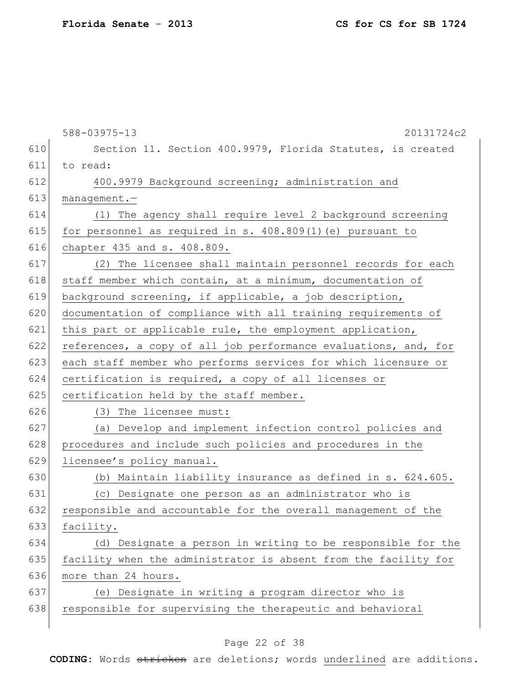|     | $588 - 03975 - 13$<br>20131724c2                                |
|-----|-----------------------------------------------------------------|
| 610 | Section 11. Section 400.9979, Florida Statutes, is created      |
| 611 | to read:                                                        |
| 612 | 400.9979 Background screening; administration and               |
| 613 | $m$ anaqement.-                                                 |
| 614 | (1) The agency shall require level 2 background screening       |
| 615 | for personnel as required in s. 408.809(1) (e) pursuant to      |
| 616 | chapter 435 and s. 408.809.                                     |
| 617 | (2) The licensee shall maintain personnel records for each      |
| 618 | staff member which contain, at a minimum, documentation of      |
| 619 | background screening, if applicable, a job description,         |
| 620 | documentation of compliance with all training requirements of   |
| 621 | this part or applicable rule, the employment application,       |
| 622 | references, a copy of all job performance evaluations, and, for |
| 623 | each staff member who performs services for which licensure or  |
| 624 | certification is required, a copy of all licenses or            |
| 625 | certification held by the staff member.                         |
| 626 | (3) The licensee must:                                          |
| 627 | (a) Develop and implement infection control policies and        |
| 628 | procedures and include such policies and procedures in the      |
| 629 | licensee's policy manual.                                       |
| 630 | (b) Maintain liability insurance as defined in s. 624.605.      |
| 631 | (c) Designate one person as an administrator who is             |
| 632 | responsible and accountable for the overall management of the   |
| 633 | facility.                                                       |
| 634 | (d) Designate a person in writing to be responsible for the     |
| 635 | facility when the administrator is absent from the facility for |
| 636 | more than 24 hours.                                             |
| 637 | (e) Designate in writing a program director who is              |
| 638 | responsible for supervising the therapeutic and behavioral      |
|     |                                                                 |

## Page 22 of 38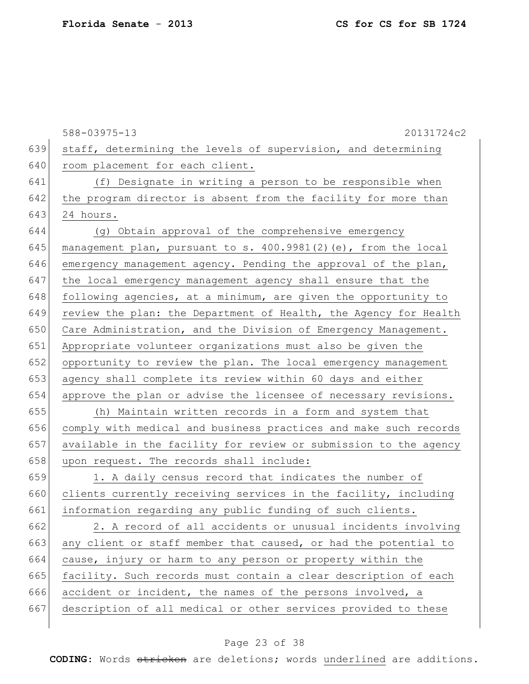|     | 588-03975-13<br>20131724c2                                       |
|-----|------------------------------------------------------------------|
| 639 | staff, determining the levels of supervision, and determining    |
| 640 | room placement for each client.                                  |
| 641 | (f) Designate in writing a person to be responsible when         |
| 642 | the program director is absent from the facility for more than   |
| 643 | 24 hours.                                                        |
| 644 | (g) Obtain approval of the comprehensive emergency               |
| 645 | management plan, pursuant to s. 400.9981(2) (e), from the local  |
| 646 | emergency management agency. Pending the approval of the plan,   |
| 647 | the local emergency management agency shall ensure that the      |
| 648 | following agencies, at a minimum, are given the opportunity to   |
| 649 | review the plan: the Department of Health, the Agency for Health |
| 650 | Care Administration, and the Division of Emergency Management.   |
| 651 | Appropriate volunteer organizations must also be given the       |
| 652 | opportunity to review the plan. The local emergency management   |
| 653 | agency shall complete its review within 60 days and either       |
| 654 | approve the plan or advise the licensee of necessary revisions.  |
| 655 | (h) Maintain written records in a form and system that           |
| 656 | comply with medical and business practices and make such records |
| 657 | available in the facility for review or submission to the agency |
| 658 | upon request. The records shall include:                         |
| 659 | 1. A daily census record that indicates the number of            |
| 660 | clients currently receiving services in the facility, including  |
| 661 | information regarding any public funding of such clients.        |
| 662 | 2. A record of all accidents or unusual incidents involving      |
| 663 | any client or staff member that caused, or had the potential to  |
| 664 | cause, injury or harm to any person or property within the       |
| 665 | facility. Such records must contain a clear description of each  |
| 666 | accident or incident, the names of the persons involved, a       |
| 667 | description of all medical or other services provided to these   |
|     |                                                                  |

## Page 23 of 38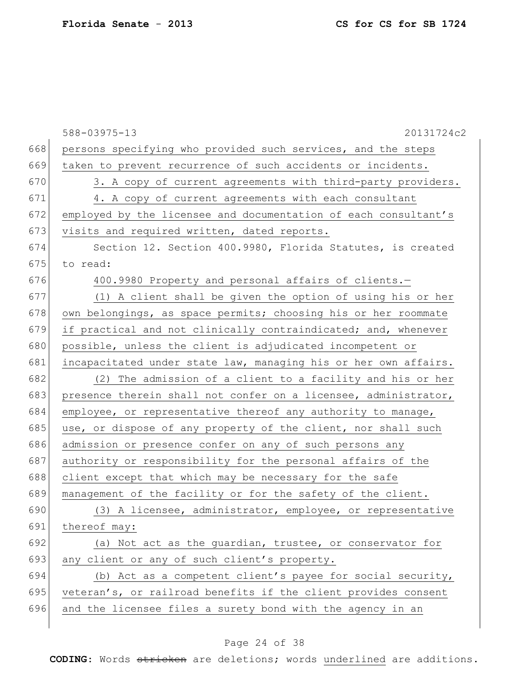|     | 588-03975-13<br>20131724c2                                      |
|-----|-----------------------------------------------------------------|
| 668 | persons specifying who provided such services, and the steps    |
| 669 | taken to prevent recurrence of such accidents or incidents.     |
| 670 | 3. A copy of current agreements with third-party providers.     |
| 671 | 4. A copy of current agreements with each consultant            |
| 672 | employed by the licensee and documentation of each consultant's |
| 673 | visits and required written, dated reports.                     |
| 674 | Section 12. Section 400.9980, Florida Statutes, is created      |
| 675 | to read:                                                        |
| 676 | 400.9980 Property and personal affairs of clients.-             |
| 677 | (1) A client shall be given the option of using his or her      |
| 678 | own belongings, as space permits; choosing his or her roommate  |
| 679 | if practical and not clinically contraindicated; and, whenever  |
| 680 | possible, unless the client is adjudicated incompetent or       |
| 681 | incapacitated under state law, managing his or her own affairs. |
| 682 | (2) The admission of a client to a facility and his or her      |
| 683 | presence therein shall not confer on a licensee, administrator, |
| 684 | employee, or representative thereof any authority to manage,    |
| 685 | use, or dispose of any property of the client, nor shall such   |
| 686 | admission or presence confer on any of such persons any         |
| 687 | authority or responsibility for the personal affairs of the     |
| 688 | client except that which may be necessary for the safe          |
| 689 | management of the facility or for the safety of the client.     |
| 690 | (3) A licensee, administrator, employee, or representative      |
| 691 | thereof may:                                                    |
| 692 | (a) Not act as the quardian, trustee, or conservator for        |
| 693 | any client or any of such client's property.                    |
| 694 | (b) Act as a competent client's payee for social security,      |
| 695 | veteran's, or railroad benefits if the client provides consent  |
| 696 | and the licensee files a surety bond with the agency in an      |
|     |                                                                 |

## Page 24 of 38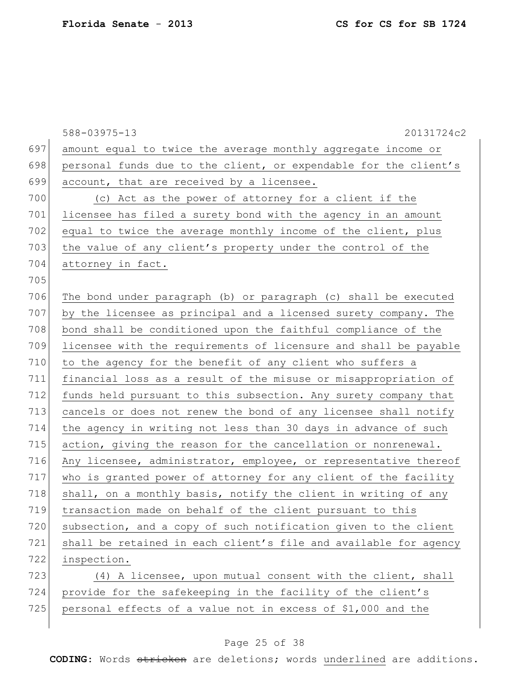|     | 588-03975-13<br>20131724c2                                       |
|-----|------------------------------------------------------------------|
| 697 | amount equal to twice the average monthly aggregate income or    |
| 698 | personal funds due to the client, or expendable for the client's |
| 699 | account, that are received by a licensee.                        |
| 700 | (c) Act as the power of attorney for a client if the             |
| 701 | licensee has filed a surety bond with the agency in an amount    |
| 702 | equal to twice the average monthly income of the client, plus    |
| 703 | the value of any client's property under the control of the      |
| 704 | attorney in fact.                                                |
| 705 |                                                                  |
| 706 | The bond under paragraph (b) or paragraph (c) shall be executed  |
| 707 | by the licensee as principal and a licensed surety company. The  |
| 708 | bond shall be conditioned upon the faithful compliance of the    |
| 709 | licensee with the requirements of licensure and shall be payable |
| 710 | to the agency for the benefit of any client who suffers a        |
| 711 | financial loss as a result of the misuse or misappropriation of  |
| 712 | funds held pursuant to this subsection. Any surety company that  |
| 713 | cancels or does not renew the bond of any licensee shall notify  |
| 714 | the agency in writing not less than 30 days in advance of such   |
| 715 | action, giving the reason for the cancellation or nonrenewal.    |
| 716 | Any licensee, administrator, employee, or representative thereof |
| 717 | who is granted power of attorney for any client of the facility  |
| 718 | shall, on a monthly basis, notify the client in writing of any   |
| 719 | transaction made on behalf of the client pursuant to this        |
| 720 | subsection, and a copy of such notification given to the client  |
| 721 | shall be retained in each client's file and available for agency |
| 722 | inspection.                                                      |
| 723 | (4) A licensee, upon mutual consent with the client, shall       |
| 724 | provide for the safekeeping in the facility of the client's      |
| 725 | personal effects of a value not in excess of \$1,000 and the     |

## Page 25 of 38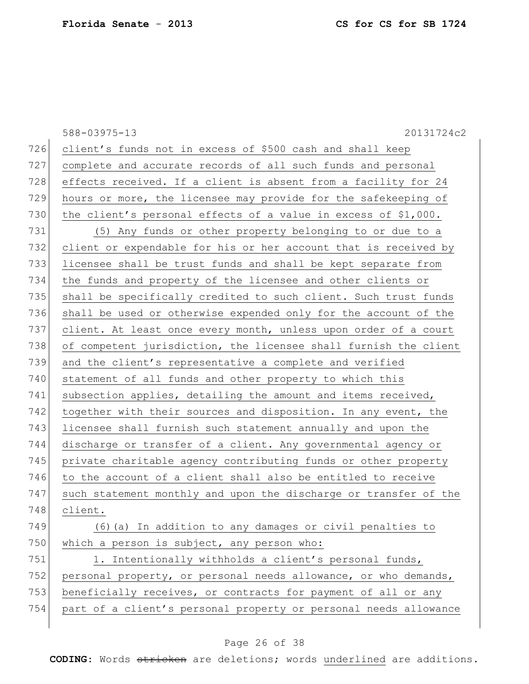588-03975-13 20131724c2 726 client's funds not in excess of \$500 cash and shall keep 727 complete and accurate records of all such funds and personal 728 effects received. If a client is absent from a facility for 24 729 hours or more, the licensee may provide for the safekeeping of 730 the client's personal effects of a value in excess of  $$1,000$ . 731 (5) Any funds or other property belonging to or due to a 732 client or expendable for his or her account that is received by 733 licensee shall be trust funds and shall be kept separate from 734 the funds and property of the licensee and other clients or 735 shall be specifically credited to such client. Such trust funds 736 shall be used or otherwise expended only for the account of the 737 client. At least once every month, unless upon order of a court 738 of competent jurisdiction, the licensee shall furnish the client 739 and the client's representative a complete and verified 740 statement of all funds and other property to which this 741 subsection applies, detailing the amount and items received, 742 together with their sources and disposition. In any event, the 743 licensee shall furnish such statement annually and upon the 744 discharge or transfer of a client. Any governmental agency or 745 private charitable agency contributing funds or other property 746 to the account of a client shall also be entitled to receive 747 such statement monthly and upon the discharge or transfer of the 748 client. 749 (6) (a) In addition to any damages or civil penalties to 750 which a person is subject, any person who: 751 1. Intentionally withholds a client's personal funds, 752 personal property, or personal needs allowance, or who demands, 753 beneficially receives, or contracts for payment of all or any 754 part of a client's personal property or personal needs allowance

#### Page 26 of 38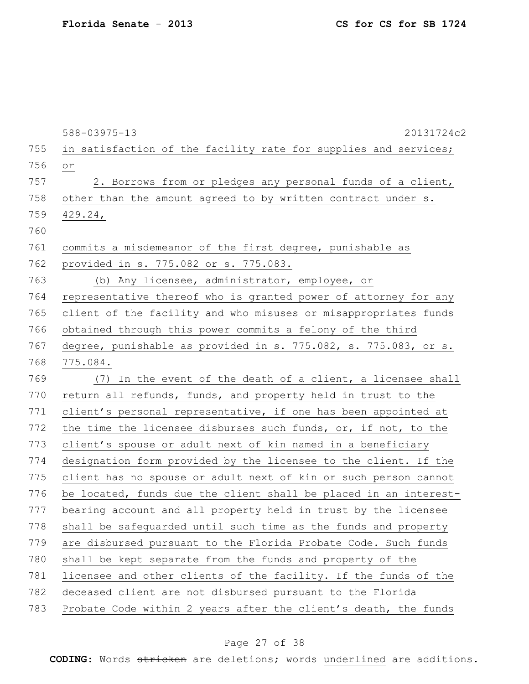|     | $588 - 03975 - 13$<br>20131724c2                                 |
|-----|------------------------------------------------------------------|
| 755 | in satisfaction of the facility rate for supplies and services;  |
| 756 | $\circ$ $\,$                                                     |
| 757 | 2. Borrows from or pledges any personal funds of a client,       |
| 758 | other than the amount agreed to by written contract under s.     |
| 759 | $429.24$ ,                                                       |
| 760 |                                                                  |
| 761 | commits a misdemeanor of the first degree, punishable as         |
| 762 | provided in s. 775.082 or s. 775.083.                            |
| 763 | (b) Any licensee, administrator, employee, or                    |
| 764 | representative thereof who is granted power of attorney for any  |
| 765 | client of the facility and who misuses or misappropriates funds  |
| 766 | obtained through this power commits a felony of the third        |
| 767 | degree, punishable as provided in s. 775.082, s. 775.083, or s.  |
| 768 | 775.084.                                                         |
| 769 | (7) In the event of the death of a client, a licensee shall      |
| 770 | return all refunds, funds, and property held in trust to the     |
| 771 | client's personal representative, if one has been appointed at   |
| 772 | the time the licensee disburses such funds, or, if not, to the   |
| 773 | client's spouse or adult next of kin named in a beneficiary      |
| 774 | designation form provided by the licensee to the client. If the  |
| 775 | client has no spouse or adult next of kin or such person cannot  |
| 776 | be located, funds due the client shall be placed in an interest- |
| 777 | bearing account and all property held in trust by the licensee   |
| 778 | shall be safeguarded until such time as the funds and property   |
| 779 | are disbursed pursuant to the Florida Probate Code. Such funds   |
| 780 | shall be kept separate from the funds and property of the        |
| 781 | licensee and other clients of the facility. If the funds of the  |
| 782 | deceased client are not disbursed pursuant to the Florida        |
| 783 | Probate Code within 2 years after the client's death, the funds  |
|     |                                                                  |

## Page 27 of 38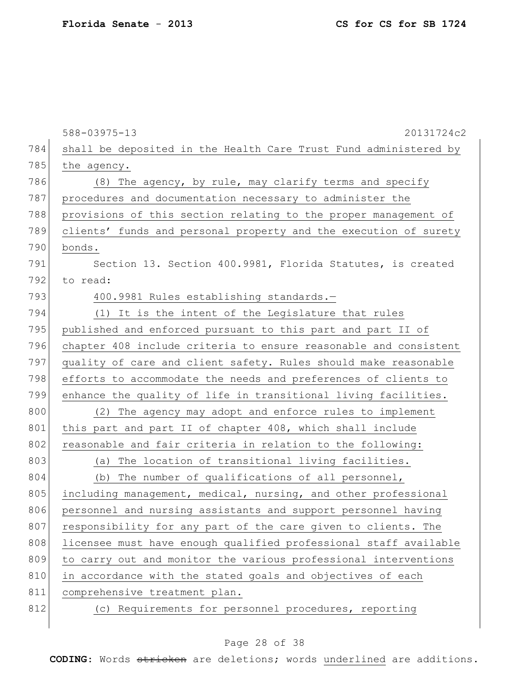|     | 588-03975-13<br>20131724c2                                       |
|-----|------------------------------------------------------------------|
| 784 | shall be deposited in the Health Care Trust Fund administered by |
| 785 | the agency.                                                      |
| 786 | (8) The agency, by rule, may clarify terms and specify           |
| 787 | procedures and documentation necessary to administer the         |
| 788 | provisions of this section relating to the proper management of  |
| 789 | clients' funds and personal property and the execution of surety |
| 790 | bonds.                                                           |
| 791 | Section 13. Section 400.9981, Florida Statutes, is created       |
| 792 | to read:                                                         |
| 793 | 400.9981 Rules establishing standards.-                          |
| 794 | (1) It is the intent of the Legislature that rules               |
| 795 | published and enforced pursuant to this part and part II of      |
| 796 | chapter 408 include criteria to ensure reasonable and consistent |
| 797 | quality of care and client safety. Rules should make reasonable  |
| 798 | efforts to accommodate the needs and preferences of clients to   |
| 799 | enhance the quality of life in transitional living facilities.   |
| 800 | (2) The agency may adopt and enforce rules to implement          |
| 801 | this part and part II of chapter 408, which shall include        |
| 802 | reasonable and fair criteria in relation to the following:       |
| 803 | (a) The location of transitional living facilities.              |
| 804 | The number of qualifications of all personnel,<br>(b)            |
| 805 | including management, medical, nursing, and other professional   |
| 806 | personnel and nursing assistants and support personnel having    |
| 807 | responsibility for any part of the care given to clients. The    |
| 808 | licensee must have enough qualified professional staff available |
| 809 | to carry out and monitor the various professional interventions  |
| 810 | in accordance with the stated goals and objectives of each       |
| 811 | comprehensive treatment plan.                                    |
| 812 | (c) Requirements for personnel procedures, reporting             |
|     |                                                                  |

## Page 28 of 38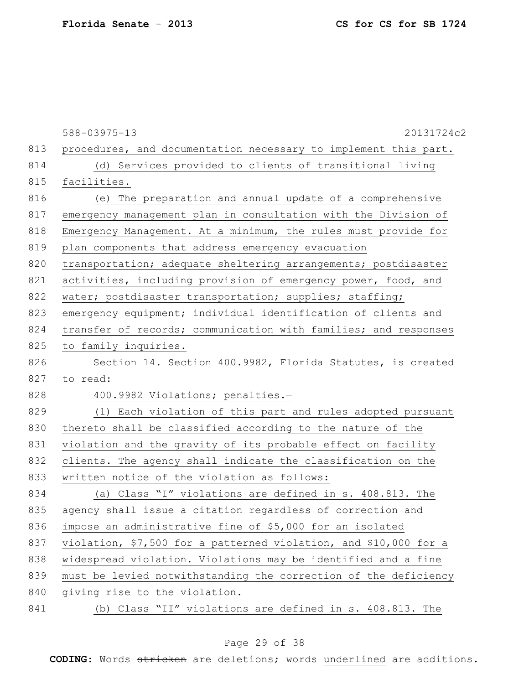|     | 588-03975-13<br>20131724c2                                       |
|-----|------------------------------------------------------------------|
| 813 | procedures, and documentation necessary to implement this part.  |
| 814 | (d) Services provided to clients of transitional living          |
| 815 | facilities.                                                      |
| 816 | (e) The preparation and annual update of a comprehensive         |
| 817 | emergency management plan in consultation with the Division of   |
| 818 | Emergency Management. At a minimum, the rules must provide for   |
| 819 | plan components that address emergency evacuation                |
| 820 | transportation; adequate sheltering arrangements; postdisaster   |
| 821 | activities, including provision of emergency power, food, and    |
| 822 | water; postdisaster transportation; supplies; staffing;          |
| 823 | emergency equipment; individual identification of clients and    |
| 824 | transfer of records; communication with families; and responses  |
| 825 | to family inquiries.                                             |
| 826 | Section 14. Section 400.9982, Florida Statutes, is created       |
| 827 | to read:                                                         |
| 828 | 400.9982 Violations; penalties.-                                 |
| 829 | (1) Each violation of this part and rules adopted pursuant       |
| 830 | thereto shall be classified according to the nature of the       |
| 831 | violation and the gravity of its probable effect on facility     |
| 832 | clients. The agency shall indicate the classification on the     |
| 833 | written notice of the violation as follows:                      |
| 834 | (a) Class "I" violations are defined in s. 408.813. The          |
| 835 | agency shall issue a citation regardless of correction and       |
| 836 | impose an administrative fine of \$5,000 for an isolated         |
| 837 | violation, \$7,500 for a patterned violation, and \$10,000 for a |
| 838 | widespread violation. Violations may be identified and a fine    |
| 839 | must be levied notwithstanding the correction of the deficiency  |
| 840 | giving rise to the violation.                                    |
| 841 | (b) Class "II" violations are defined in s. 408.813. The         |
|     |                                                                  |

## Page 29 of 38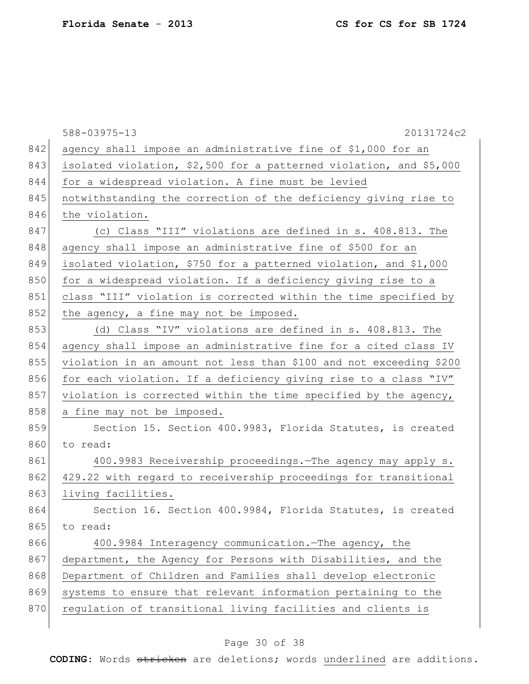|     | 20131724c2<br>588-03975-13                                         |
|-----|--------------------------------------------------------------------|
| 842 | agency shall impose an administrative fine of \$1,000 for an       |
| 843 | isolated violation, \$2,500 for a patterned violation, and \$5,000 |
| 844 | for a widespread violation. A fine must be levied                  |
| 845 | notwithstanding the correction of the deficiency giving rise to    |
| 846 | the violation.                                                     |
| 847 | (c) Class "III" violations are defined in s. 408.813. The          |
| 848 | agency shall impose an administrative fine of \$500 for an         |
| 849 | isolated violation, \$750 for a patterned violation, and \$1,000   |
| 850 | for a widespread violation. If a deficiency giving rise to a       |
| 851 | class "III" violation is corrected within the time specified by    |
| 852 | the agency, a fine may not be imposed.                             |
| 853 | (d) Class "IV" violations are defined in s. 408.813. The           |
| 854 | agency shall impose an administrative fine for a cited class IV    |
| 855 | violation in an amount not less than \$100 and not exceeding \$200 |
| 856 | for each violation. If a deficiency giving rise to a class "IV"    |
| 857 | violation is corrected within the time specified by the agency,    |
| 858 | a fine may not be imposed.                                         |
| 859 | Section 15. Section 400.9983, Florida Statutes, is created         |
| 860 | to read:                                                           |
| 861 | 400.9983 Receivership proceedings. The agency may apply s.         |
| 862 | 429.22 with regard to receivership proceedings for transitional    |
| 863 | living facilities.                                                 |
| 864 | Section 16. Section 400.9984, Florida Statutes, is created         |
| 865 | to read:                                                           |
| 866 | 400.9984 Interagency communication. The agency, the                |
| 867 | department, the Agency for Persons with Disabilities, and the      |
| 868 | Department of Children and Families shall develop electronic       |
| 869 | systems to ensure that relevant information pertaining to the      |
| 870 | regulation of transitional living facilities and clients is        |
|     |                                                                    |

## Page 30 of 38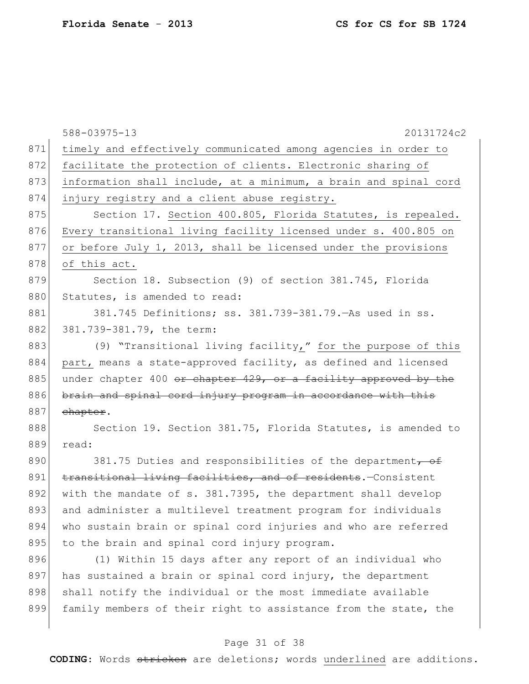|     | 588-03975-13<br>20131724c2                                       |
|-----|------------------------------------------------------------------|
| 871 | timely and effectively communicated among agencies in order to   |
| 872 | facilitate the protection of clients. Electronic sharing of      |
| 873 | information shall include, at a minimum, a brain and spinal cord |
| 874 | injury registry and a client abuse registry.                     |
| 875 | Section 17. Section 400.805, Florida Statutes, is repealed.      |
| 876 | Every transitional living facility licensed under s. 400.805 on  |
| 877 | or before July 1, 2013, shall be licensed under the provisions   |
| 878 | of this act.                                                     |
| 879 | Section 18. Subsection (9) of section 381.745, Florida           |
| 880 | Statutes, is amended to read:                                    |
| 881 | 381.745 Definitions; ss. 381.739-381.79. As used in ss.          |
| 882 | 381.739-381.79, the term:                                        |
| 883 | (9) "Transitional living facility," for the purpose of this      |
| 884 | part, means a state-approved facility, as defined and licensed   |
| 885 | under chapter 400 or chapter 429, or a facility approved by the  |
| 886 | brain and spinal cord injury program in accordance with this     |
| 887 | chapter.                                                         |
| 888 | Section 19. Section 381.75, Florida Statutes, is amended to      |
| 889 | read:                                                            |
| 890 | 381.75 Duties and responsibilities of the department, of         |
| 891 | transitional living facilities, and of residents. Consistent     |
| 892 | with the mandate of s. 381.7395, the department shall develop    |
| 893 | and administer a multilevel treatment program for individuals    |
| 894 | who sustain brain or spinal cord injuries and who are referred   |
| 895 | to the brain and spinal cord injury program.                     |
| 896 | (1) Within 15 days after any report of an individual who         |
| 897 | has sustained a brain or spinal cord injury, the department      |
| 898 | shall notify the individual or the most immediate available      |
| 899 | family members of their right to assistance from the state, the  |
|     |                                                                  |

## Page 31 of 38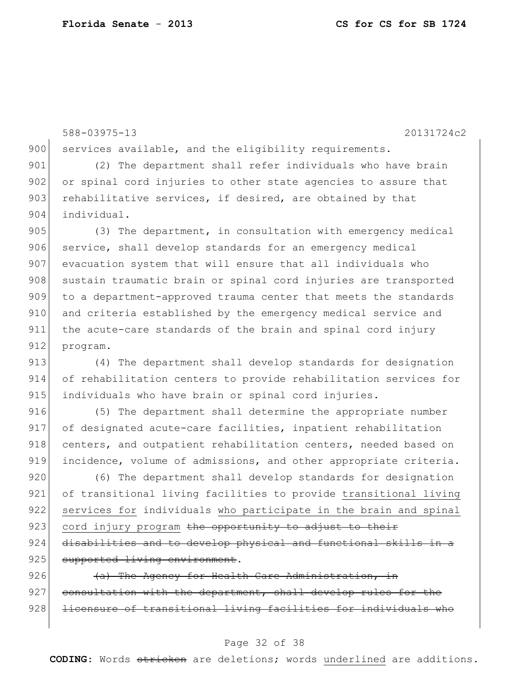588-03975-13 20131724c2 900 services available, and the eligibility requirements. 901 (2) The department shall refer individuals who have brain 902 or spinal cord injuries to other state agencies to assure that  $903$  rehabilitative services, if desired, are obtained by that 904 individual. 905 (3) The department, in consultation with emergency medical 906 service, shall develop standards for an emergency medical 907 evacuation system that will ensure that all individuals who 908 sustain traumatic brain or spinal cord injuries are transported 909 to a department-approved trauma center that meets the standards 910 and criteria established by the emergency medical service and 911 the acute-care standards of the brain and spinal cord injury 912 program. 913 (4) The department shall develop standards for designation 914 of rehabilitation centers to provide rehabilitation services for

916 (5) The department shall determine the appropriate number 917 of designated acute-care facilities, inpatient rehabilitation 918 centers, and outpatient rehabilitation centers, needed based on 919 incidence, volume of admissions, and other appropriate criteria.

915 individuals who have brain or spinal cord injuries.

920 (6) The department shall develop standards for designation 921 of transitional living facilities to provide transitional living 922 services for individuals who participate in the brain and spinal 923 cord injury program the opportunity to adjust to their  $924$  disabilities and to develop physical and functional skills in a 925 supported living environment.

926  $(a)$  The Agency for Health Care Administration, in  $927$  consultation with the department, shall develop rules for the 928 licensure of transitional living facilities for individuals who

#### Page 32 of 38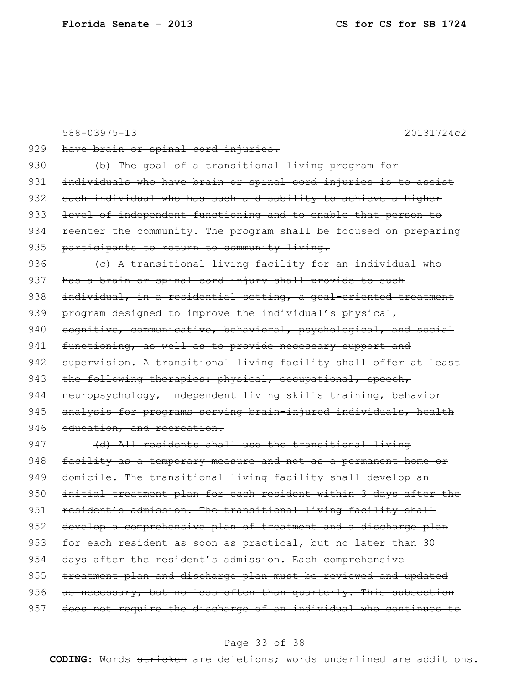|     | 588-03975-13<br>20131724c2                                       |
|-----|------------------------------------------------------------------|
| 929 | have brain or spinal cord injuries.                              |
| 930 | (b) The goal of a transitional living program for                |
| 931 | individuals who have brain or spinal cord injuries is to assist  |
| 932 | each individual who has such a disability to achieve a higher    |
| 933 | level of independent functioning and to enable that person to    |
| 934 | reenter the community. The program shall be focused on preparing |
| 935 | participants to return to community living.                      |
| 936 | (e) A transitional living facility for an individual who         |
| 937 | has a brain or spinal cord injury shall provide to such          |
| 938 | individual, in a residential setting, a goal-oriented treatment  |
| 939 | program designed to improve the individual's physical,           |
| 940 | cognitive, communicative, behavioral, psychological, and social  |
| 941 | functioning, as well as to provide necessary support and         |
| 942 | supervision. A transitional living facility shall offer at least |
| 943 | the following therapies: physical, occupational, speech,         |
| 944 | neuropsychology, independent living skills training, behavior    |
| 945 | analysis for programs serving brain-injured individuals, health  |
| 946 | education, and recreation.                                       |
| 947 | (d) All residents shall use the transitional living              |
| 948 | facility as a temporary measure and not as a permanent home or   |
| 949 | domicile. The transitional living facility shall develop an      |
| 950 | initial treatment plan for each resident within 3 days after the |
| 951 | resident's admission. The transitional living facility shall     |
| 952 | develop a comprehensive plan of treatment and a discharge plan   |
| 953 | for each resident as soon as practical, but no later than 30     |
| 954 | days after the resident's admission. Each comprehensive          |
| 955 | treatment plan and discharge plan must be reviewed and updated   |
| 956 | as necessary, but no less often than quarterly. This subsection  |
| 957 | does not require the discharge of an individual who continues to |

## Page 33 of 38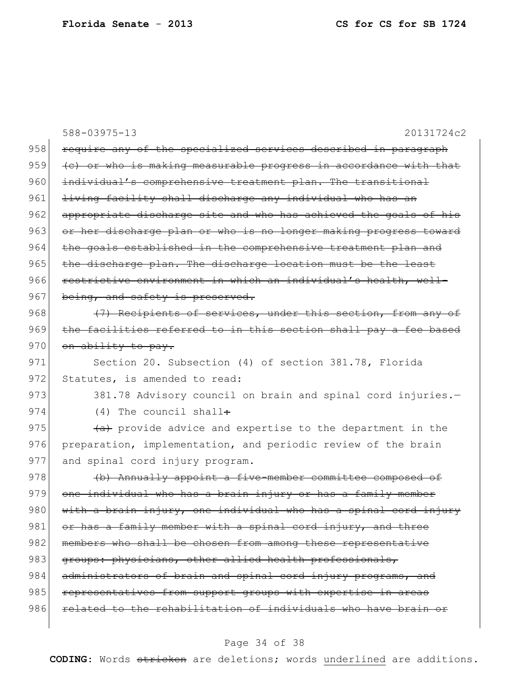|     | 588-03975-13<br>20131724c2                                       |
|-----|------------------------------------------------------------------|
| 958 | require any of the specialized services described in paragraph   |
| 959 | (e) or who is making measurable progress in accordance with that |
| 960 | individual's comprehensive treatment plan. The transitional      |
| 961 | living facility shall discharge any individual who has an        |
| 962 | appropriate discharge site and who has achieved the goals of his |
| 963 | or her discharge plan or who is no longer making progress toward |
| 964 | the goals established in the comprehensive treatment plan and    |
| 965 | the discharge plan. The discharge location must be the least     |
| 966 | restrictive environment in which an individual's health, well-   |
| 967 | being, and safety is preserved.                                  |
| 968 | (7) Recipients of services, under this section, from any of      |
| 969 | the facilities referred to in this section shall pay a fee based |
| 970 | on ability to pay.                                               |
| 971 | Section 20. Subsection (4) of section 381.78, Florida            |
| 972 | Statutes, is amended to read:                                    |
| 973 | 381.78 Advisory council on brain and spinal cord injuries.-      |
| 974 | $(4)$ The council shall:                                         |
| 975 | (a) provide advice and expertise to the department in the        |
| 976 | preparation, implementation, and periodic review of the brain    |
| 977 | and spinal cord injury program.                                  |
| 978 | (b) Annually appoint a five-member committee composed of         |
| 979 | one individual who has a brain injury or has a family member     |
| 980 | with a brain injury, one individual who has a spinal cord injury |
| 981 | or has a family member with a spinal cord injury, and three      |
| 982 | members who shall be chosen from among these representative      |
| 983 | groups: physicians, other allied health professionals,           |
| 984 | administrators of brain and spinal cord injury programs, and     |
| 985 | representatives from support groups with expertise in areas      |
| 986 | related to the rehabilitation of individuals who have brain or   |
|     |                                                                  |

## Page 34 of 38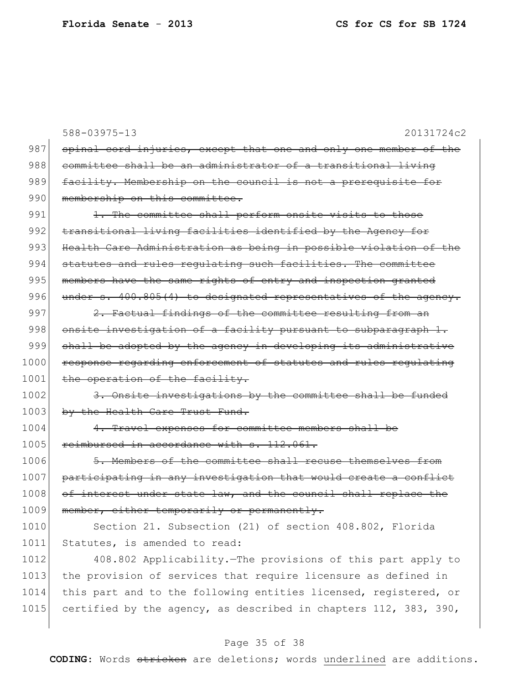|      | $588 - 03975 - 13$<br>20131724c2                                 |
|------|------------------------------------------------------------------|
| 987  | spinal cord injuries, except that one and only one member of the |
| 988  | committee shall be an administrator of a transitional living     |
| 989  | facility. Membership on the council is not a prerequisite for    |
| 990  | membership on this committee.                                    |
| 991  | 1. The committee shall perform onsite visits to those            |
| 992  | transitional living facilities identified by the Agency for      |
| 993  | Health Care Administration as being in possible violation of the |
| 994  | statutes and rules regulating such facilities. The committee     |
| 995  | members have the same rights of entry and inspection granted     |
| 996  | under s. 400.805(4) to designated representatives of the agency. |
| 997  | 2. Factual findings of the committee resulting from an           |
| 998  | onsite investigation of a facility pursuant to subparagraph 1.   |
| 999  | shall be adopted by the agency in developing its administrative  |
| 1000 | response regarding enforcement of statutes and rules regulating  |
| 1001 | the operation of the facility.                                   |
| 1002 | 3. Onsite investigations by the committee shall be funded        |
| 1003 | by the Health Care Trust Fund.                                   |
| 1004 | 4. Travel expenses for committee members shall be                |
| 1005 | reimbursed in accordance with s. 112.061.                        |
| 1006 | 5. Members of the committee shall recuse themselves from         |
| 1007 | participating in any investigation that would create a conflict  |
| 1008 | of interest under state law, and the council shall replace the   |
| 1009 | member, either temporarily or permanently.                       |
| 1010 | Section 21. Subsection (21) of section 408.802, Florida          |
| 1011 | Statutes, is amended to read:                                    |
| 1012 | 408.802 Applicability. The provisions of this part apply to      |
| 1013 | the provision of services that require licensure as defined in   |
| 1014 | this part and to the following entities licensed, registered, or |
| 1015 | certified by the agency, as described in chapters 112, 383, 390, |

## Page 35 of 38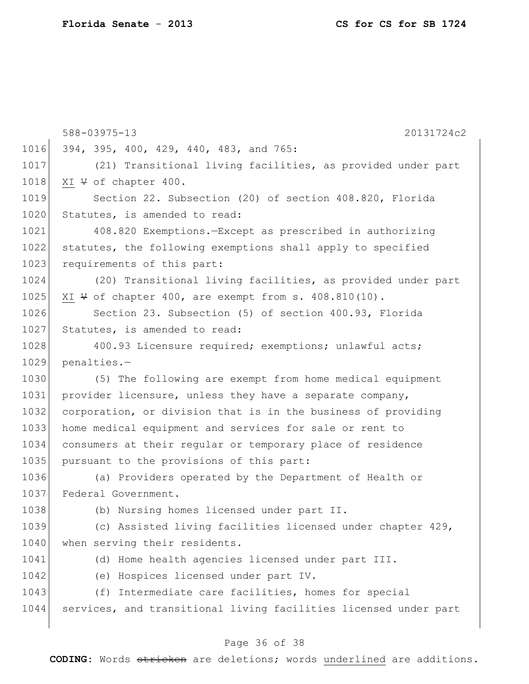|      | 588-03975-13<br>20131724c2                                       |
|------|------------------------------------------------------------------|
| 1016 | 394, 395, 400, 429, 440, 483, and 765:                           |
| 1017 | (21) Transitional living facilities, as provided under part      |
| 1018 | XI V of chapter 400.                                             |
| 1019 | Section 22. Subsection (20) of section 408.820, Florida          |
| 1020 | Statutes, is amended to read:                                    |
| 1021 | 408.820 Exemptions.-Except as prescribed in authorizing          |
| 1022 | statutes, the following exemptions shall apply to specified      |
| 1023 | requirements of this part:                                       |
| 1024 | (20) Transitional living facilities, as provided under part      |
| 1025 | XI $\forall$ of chapter 400, are exempt from s. 408.810(10).     |
| 1026 | Section 23. Subsection (5) of section 400.93, Florida            |
| 1027 | Statutes, is amended to read:                                    |
| 1028 | 400.93 Licensure required; exemptions; unlawful acts;            |
| 1029 | penalties.-                                                      |
| 1030 | (5) The following are exempt from home medical equipment         |
| 1031 | provider licensure, unless they have a separate company,         |
| 1032 | corporation, or division that is in the business of providing    |
| 1033 | home medical equipment and services for sale or rent to          |
| 1034 | consumers at their regular or temporary place of residence       |
| 1035 | pursuant to the provisions of this part:                         |
| 1036 | (a) Providers operated by the Department of Health or            |
| 1037 | Federal Government.                                              |
| 1038 | (b) Nursing homes licensed under part II.                        |
| 1039 | (c) Assisted living facilities licensed under chapter 429,       |
| 1040 | when serving their residents.                                    |
| 1041 | (d) Home health agencies licensed under part III.                |
| 1042 | (e) Hospices licensed under part IV.                             |
| 1043 | (f) Intermediate care facilities, homes for special              |
| 1044 | services, and transitional living facilities licensed under part |
|      |                                                                  |

## Page 36 of 38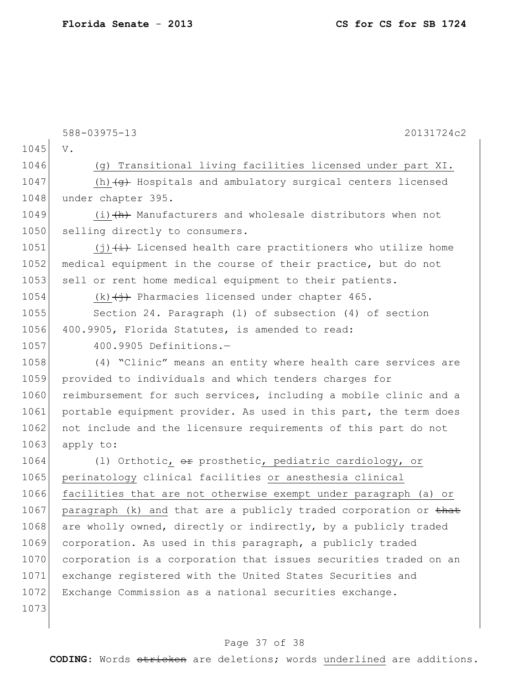|      | 588-03975-13<br>20131724c2                                             |
|------|------------------------------------------------------------------------|
| 1045 | V.                                                                     |
| 1046 | (g) Transitional living facilities licensed under part XI.             |
| 1047 | (h) $\overline{+g}$ Hospitals and ambulatory surgical centers licensed |
| 1048 | under chapter 395.                                                     |
| 1049 | $(i)$ $(h)$ Manufacturers and wholesale distributors when not          |
| 1050 | selling directly to consumers.                                         |
| 1051 | $(j)$ $(i)$ Licensed health care practitioners who utilize home        |
| 1052 | medical equipment in the course of their practice, but do not          |
| 1053 | sell or rent home medical equipment to their patients.                 |
| 1054 | $(k)$ $(j)$ Pharmacies licensed under chapter 465.                     |
| 1055 | Section 24. Paragraph (1) of subsection (4) of section                 |
| 1056 | 400.9905, Florida Statutes, is amended to read:                        |
| 1057 | 400.9905 Definitions.-                                                 |
| 1058 | (4) "Clinic" means an entity where health care services are            |
| 1059 | provided to individuals and which tenders charges for                  |
| 1060 | reimbursement for such services, including a mobile clinic and a       |
| 1061 | portable equipment provider. As used in this part, the term does       |
| 1062 | not include and the licensure requirements of this part do not         |
| 1063 | apply to:                                                              |
| 1064 | (1) Orthotic, or prosthetic, pediatric cardiology, or                  |
| 1065 | perinatology clinical facilities or anesthesia clinical                |
| 1066 | facilities that are not otherwise exempt under paragraph (a) or        |
| 1067 | paragraph (k) and that are a publicly traded corporation or that       |
| 1068 | are wholly owned, directly or indirectly, by a publicly traded         |
| 1069 | corporation. As used in this paragraph, a publicly traded              |
| 1070 | corporation is a corporation that issues securities traded on an       |
| 1071 | exchange registered with the United States Securities and              |
| 1072 | Exchange Commission as a national securities exchange.                 |
| 1073 |                                                                        |

## Page 37 of 38